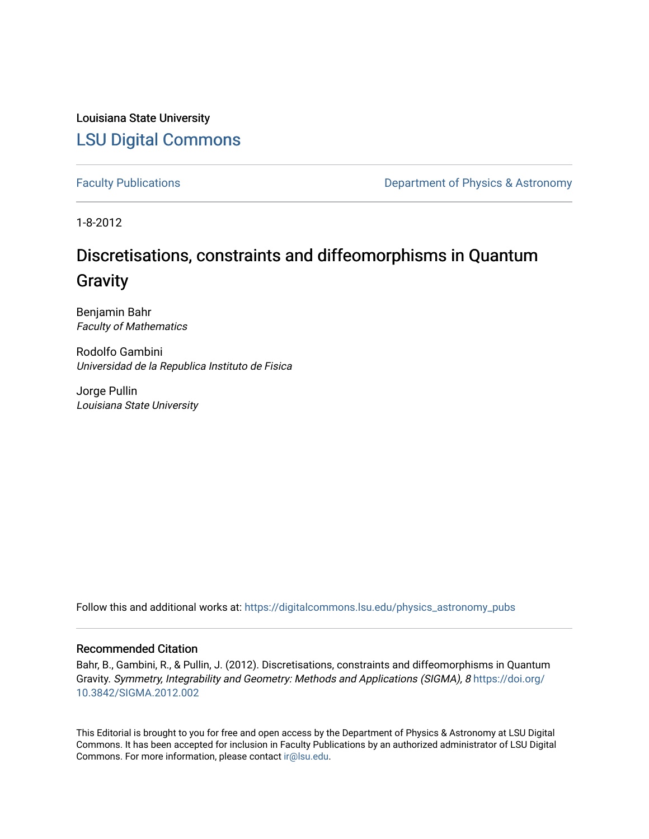Louisiana State University [LSU Digital Commons](https://digitalcommons.lsu.edu/)

[Faculty Publications](https://digitalcommons.lsu.edu/physics_astronomy_pubs) **Exercise 2 and Table 2 and Table 2 and Table 2 and Table 2 and Table 2 and Table 2 and Table 2 and Table 2 and Table 2 and Table 2 and Table 2 and Table 2 and Table 2 and Table 2 and Table 2 and Table** 

1-8-2012

# Discretisations, constraints and diffeomorphisms in Quantum **Gravity**

Benjamin Bahr Faculty of Mathematics

Rodolfo Gambini Universidad de la Republica Instituto de Fisica

Jorge Pullin Louisiana State University

Follow this and additional works at: [https://digitalcommons.lsu.edu/physics\\_astronomy\\_pubs](https://digitalcommons.lsu.edu/physics_astronomy_pubs?utm_source=digitalcommons.lsu.edu%2Fphysics_astronomy_pubs%2F4340&utm_medium=PDF&utm_campaign=PDFCoverPages) 

## Recommended Citation

Bahr, B., Gambini, R., & Pullin, J. (2012). Discretisations, constraints and diffeomorphisms in Quantum Gravity. Symmetry, Integrability and Geometry: Methods and Applications (SIGMA), 8 [https://doi.org/](https://doi.org/10.3842/SIGMA.2012.002) [10.3842/SIGMA.2012.002](https://doi.org/10.3842/SIGMA.2012.002) 

This Editorial is brought to you for free and open access by the Department of Physics & Astronomy at LSU Digital Commons. It has been accepted for inclusion in Faculty Publications by an authorized administrator of LSU Digital Commons. For more information, please contact [ir@lsu.edu](mailto:ir@lsu.edu).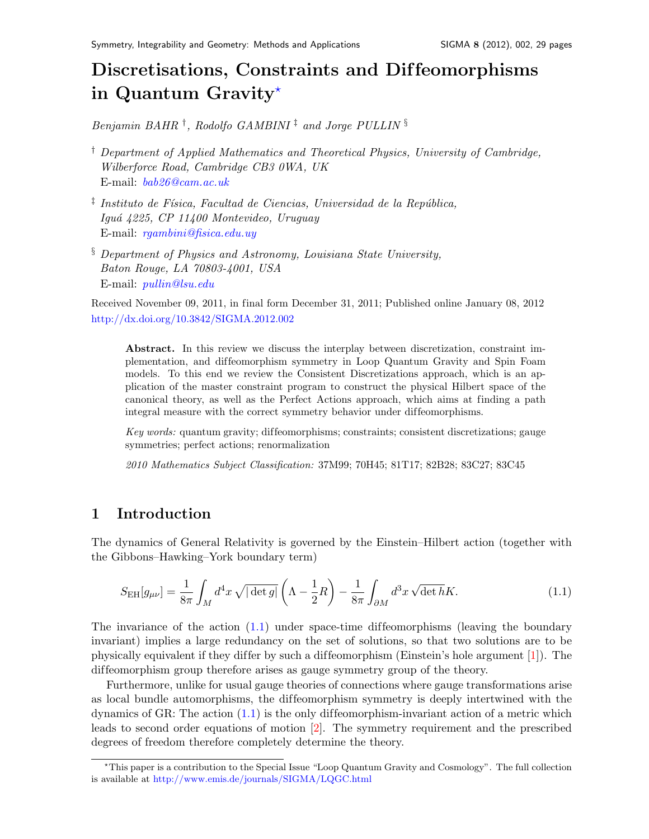## Discretisations, Constraints and Dif feomorphisms in Quantum Gravity $\star$

Benjamin BAHR<sup>†</sup>, Rodolfo GAMBINI<sup>‡</sup> and Jorge PULLIN<sup>§</sup>

- † Department of Applied Mathematics and Theoretical Physics, University of Cambridge, Wilberforce Road, Cambridge CB3 0WA, UK E-mail: [bab26@cam.ac.uk](mailto:bab26@cam.ac.uk)
- $\frac{1}{4}$  Instituto de Física, Facultad de Ciencias, Universidad de la República, Iguá 4225, CP 11400 Montevideo, Uruguay E-mail: [rgambini@fisica.edu.uy](mailto:rgambini@fisica.edu.uy)
- § Department of Physics and Astronomy, Louisiana State University, Baton Rouge, LA 70803-4001, USA E-mail: [pullin@lsu.edu](mailto:pullin@lsu.edu)

Received November 09, 2011, in final form December 31, 2011; Published online January 08, 2012 <http://dx.doi.org/10.3842/SIGMA.2012.002>

Abstract. In this review we discuss the interplay between discretization, constraint implementation, and diffeomorphism symmetry in Loop Quantum Gravity and Spin Foam models. To this end we review the Consistent Discretizations approach, which is an application of the master constraint program to construct the physical Hilbert space of the canonical theory, as well as the Perfect Actions approach, which aims at finding a path integral measure with the correct symmetry behavior under diffeomorphisms.

Key words: quantum gravity; diffeomorphisms; constraints; consistent discretizations; gauge symmetries; perfect actions; renormalization

2010 Mathematics Subject Classification: 37M99; 70H45; 81T17; 82B28; 83C27; 83C45

## 1 Introduction

The dynamics of General Relativity is governed by the Einstein–Hilbert action (together with the Gibbons–Hawking–York boundary term)

<span id="page-1-1"></span>
$$
S_{\rm EH}[g_{\mu\nu}] = \frac{1}{8\pi} \int_M d^4x \sqrt{|\det g|} \left(\Lambda - \frac{1}{2}R\right) - \frac{1}{8\pi} \int_{\partial M} d^3x \sqrt{\det h} K. \tag{1.1}
$$

The invariance of the action  $(1.1)$  under space-time diffeomorphisms (leaving the boundary invariant) implies a large redundancy on the set of solutions, so that two solutions are to be physically equivalent if they differ by such a diffeomorphism (Einstein's hole argument  $[1]$ ). The diffeomorphism group therefore arises as gauge symmetry group of the theory.

Furthermore, unlike for usual gauge theories of connections where gauge transformations arise as local bundle automorphisms, the dif feomorphism symmetry is deeply intertwined with the dynamics of GR: The action  $(1.1)$  is the only diffeomorphism-invariant action of a metric which leads to second order equations of motion [\[2\]](#page-26-1). The symmetry requirement and the prescribed degrees of freedom therefore completely determine the theory.

<span id="page-1-0"></span><sup>?</sup>This paper is a contribution to the Special Issue "Loop Quantum Gravity and Cosmology". The full collection is available at <http://www.emis.de/journals/SIGMA/LQGC.html>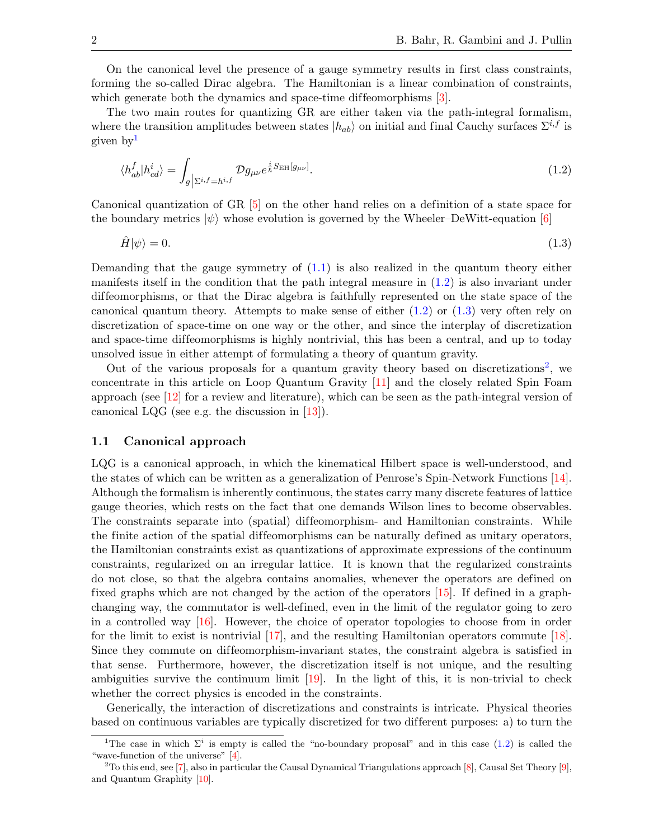On the canonical level the presence of a gauge symmetry results in first class constraints, forming the so-called Dirac algebra. The Hamiltonian is a linear combination of constraints, which generate both the dynamics and space-time diffeomorphisms [\[3\]](#page-26-2).

The two main routes for quantizing GR are either taken via the path-integral formalism, where the transition amplitudes between states  $|h_{ab}\rangle$  on initial and final Cauchy surfaces  $\Sigma^{i,f}$  is given by[1](#page-2-0)

<span id="page-2-1"></span>
$$
\langle h_{ab}^f | h_{cd}^i \rangle = \int_{g \left| \Sigma^{i,f} = h^{i,f}} \mathcal{D}g_{\mu\nu} e^{\frac{i}{\hbar} S_{\text{EH}}[g_{\mu\nu}]}.
$$
\n(1.2)

Canonical quantization of GR [\[5\]](#page-26-3) on the other hand relies on a definition of a state space for the boundary metrics  $|\psi\rangle$  whose evolution is governed by the Wheeler–DeWitt-equation [\[6\]](#page-26-4)

<span id="page-2-2"></span>
$$
\hat{H}|\psi\rangle = 0.\tag{1.3}
$$

Demanding that the gauge symmetry of [\(1.1\)](#page-1-1) is also realized in the quantum theory either manifests itself in the condition that the path integral measure in  $(1.2)$  is also invariant under dif feomorphisms, or that the Dirac algebra is faithfully represented on the state space of the canonical quantum theory. Attempts to make sense of either [\(1.2\)](#page-2-1) or [\(1.3\)](#page-2-2) very often rely on discretization of space-time on one way or the other, and since the interplay of discretization and space-time diffeomorphisms is highly nontrivial, this has been a central, and up to today unsolved issue in either attempt of formulating a theory of quantum gravity.

Out of the various proposals for a quantum gravity theory based on discretizations<sup>[2](#page-2-3)</sup>, we concentrate in this article on Loop Quantum Gravity [\[11\]](#page-26-5) and the closely related Spin Foam approach (see  $[12]$  for a review and literature), which can be seen as the path-integral version of canonical LQG (see e.g. the discussion in [\[13\]](#page-26-7)).

#### 1.1 Canonical approach

LQG is a canonical approach, in which the kinematical Hilbert space is well-understood, and the states of which can be written as a generalization of Penrose's Spin-Network Functions [\[14\]](#page-26-8). Although the formalism is inherently continuous, the states carry many discrete features of lattice gauge theories, which rests on the fact that one demands Wilson lines to become observables. The constraints separate into (spatial) diffeomorphism- and Hamiltonian constraints. While the finite action of the spatial diffeomorphisms can be naturally defined as unitary operators, the Hamiltonian constraints exist as quantizations of approximate expressions of the continuum constraints, regularized on an irregular lattice. It is known that the regularized constraints do not close, so that the algebra contains anomalies, whenever the operators are defined on fixed graphs which are not changed by the action of the operators [\[15\]](#page-26-9). If defined in a graphchanging way, the commutator is well-defined, even in the limit of the regulator going to zero in a controlled way [\[16\]](#page-26-10). However, the choice of operator topologies to choose from in order for the limit to exist is nontrivial [\[17\]](#page-26-11), and the resulting Hamiltonian operators commute [\[18\]](#page-26-12). Since they commute on diffeomorphism-invariant states, the constraint algebra is satisfied in that sense. Furthermore, however, the discretization itself is not unique, and the resulting ambiguities survive the continuum limit  $[19]$ . In the light of this, it is non-trivial to check whether the correct physics is encoded in the constraints.

Generically, the interaction of discretizations and constraints is intricate. Physical theories based on continuous variables are typically discretized for two dif ferent purposes: a) to turn the

<span id="page-2-0"></span><sup>&</sup>lt;sup>1</sup>The case in which  $\Sigma^i$  is empty is called the "no-boundary proposal" and in this case [\(1.2\)](#page-2-1) is called the "wave-function of the universe" [\[4\]](#page-26-14).

<span id="page-2-3"></span><sup>&</sup>lt;sup>2</sup>To this end, see [\[7\]](#page-26-15), also in particular the Causal Dynamical Triangulations approach [\[8\]](#page-26-16), Causal Set Theory [\[9\]](#page-26-17), and Quantum Graphity [\[10\]](#page-26-18).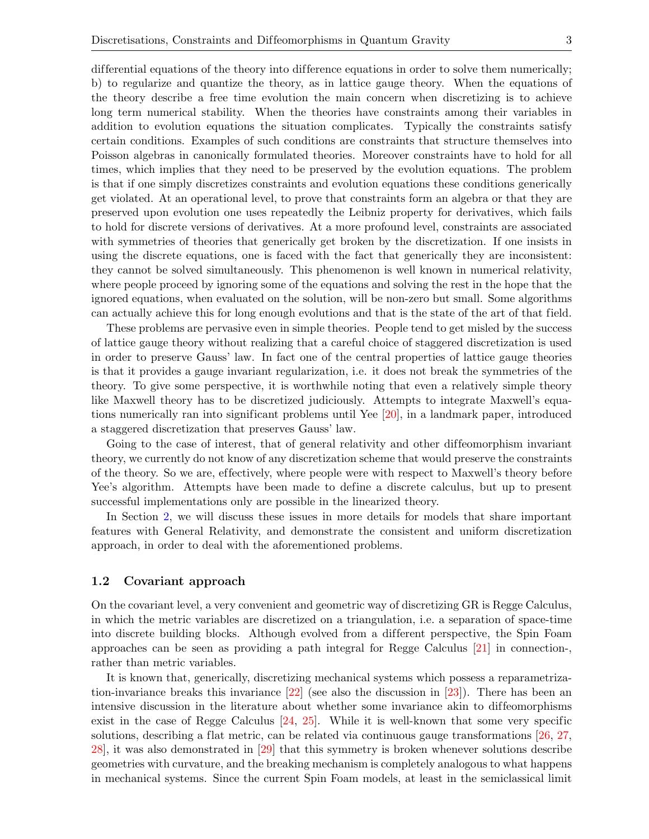differential equations of the theory into difference equations in order to solve them numerically; b) to regularize and quantize the theory, as in lattice gauge theory. When the equations of the theory describe a free time evolution the main concern when discretizing is to achieve long term numerical stability. When the theories have constraints among their variables in addition to evolution equations the situation complicates. Typically the constraints satisfy certain conditions. Examples of such conditions are constraints that structure themselves into Poisson algebras in canonically formulated theories. Moreover constraints have to hold for all times, which implies that they need to be preserved by the evolution equations. The problem is that if one simply discretizes constraints and evolution equations these conditions generically get violated. At an operational level, to prove that constraints form an algebra or that they are preserved upon evolution one uses repeatedly the Leibniz property for derivatives, which fails to hold for discrete versions of derivatives. At a more profound level, constraints are associated with symmetries of theories that generically get broken by the discretization. If one insists in using the discrete equations, one is faced with the fact that generically they are inconsistent: they cannot be solved simultaneously. This phenomenon is well known in numerical relativity, where people proceed by ignoring some of the equations and solving the rest in the hope that the ignored equations, when evaluated on the solution, will be non-zero but small. Some algorithms can actually achieve this for long enough evolutions and that is the state of the art of that field.

These problems are pervasive even in simple theories. People tend to get misled by the success of lattice gauge theory without realizing that a careful choice of staggered discretization is used in order to preserve Gauss' law. In fact one of the central properties of lattice gauge theories is that it provides a gauge invariant regularization, i.e. it does not break the symmetries of the theory. To give some perspective, it is worthwhile noting that even a relatively simple theory like Maxwell theory has to be discretized judiciously. Attempts to integrate Maxwell's equations numerically ran into significant problems until Yee [\[20\]](#page-26-19), in a landmark paper, introduced a staggered discretization that preserves Gauss' law.

Going to the case of interest, that of general relativity and other diffeomorphism invariant theory, we currently do not know of any discretization scheme that would preserve the constraints of the theory. So we are, ef fectively, where people were with respect to Maxwell's theory before Yee's algorithm. Attempts have been made to define a discrete calculus, but up to present successful implementations only are possible in the linearized theory.

In Section [2,](#page-4-0) we will discuss these issues in more details for models that share important features with General Relativity, and demonstrate the consistent and uniform discretization approach, in order to deal with the aforementioned problems.

#### 1.2 Covariant approach

On the covariant level, a very convenient and geometric way of discretizing GR is Regge Calculus, in which the metric variables are discretized on a triangulation, i.e. a separation of space-time into discrete building blocks. Although evolved from a different perspective, the Spin Foam approaches can be seen as providing a path integral for Regge Calculus [\[21\]](#page-27-0) in connection-, rather than metric variables.

It is known that, generically, discretizing mechanical systems which possess a reparametrization-invariance breaks this invariance [\[22\]](#page-27-1) (see also the discussion in [\[23\]](#page-27-2)). There has been an intensive discussion in the literature about whether some invariance akin to diffeomorphisms exist in the case of Regge Calculus [\[24,](#page-27-3) [25\]](#page-27-4). While it is well-known that some very specific solutions, describing a flat metric, can be related via continuous gauge transformations [\[26,](#page-27-5) [27,](#page-27-6) [28\]](#page-27-7), it was also demonstrated in [\[29\]](#page-27-8) that this symmetry is broken whenever solutions describe geometries with curvature, and the breaking mechanism is completely analogous to what happens in mechanical systems. Since the current Spin Foam models, at least in the semiclassical limit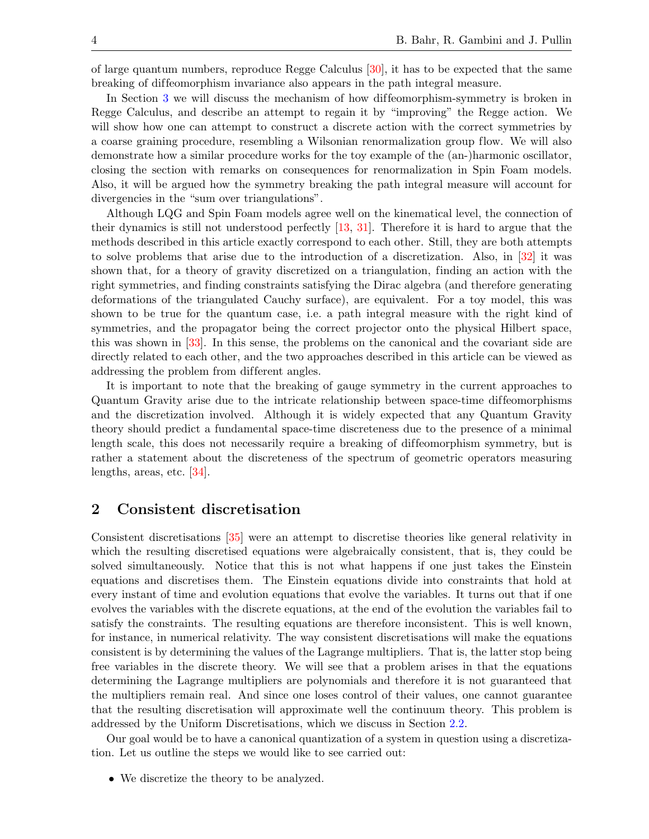of large quantum numbers, reproduce Regge Calculus [\[30\]](#page-27-9), it has to be expected that the same breaking of dif feomorphism invariance also appears in the path integral measure.

In Section [3](#page-17-0) we will discuss the mechanism of how diffeomorphism-symmetry is broken in Regge Calculus, and describe an attempt to regain it by "improving" the Regge action. We will show how one can attempt to construct a discrete action with the correct symmetries by a coarse graining procedure, resembling a Wilsonian renormalization group flow. We will also demonstrate how a similar procedure works for the toy example of the (an-)harmonic oscillator, closing the section with remarks on consequences for renormalization in Spin Foam models. Also, it will be argued how the symmetry breaking the path integral measure will account for divergencies in the "sum over triangulations".

Although LQG and Spin Foam models agree well on the kinematical level, the connection of their dynamics is still not understood perfectly [\[13,](#page-26-7) [31\]](#page-27-10). Therefore it is hard to argue that the methods described in this article exactly correspond to each other. Still, they are both attempts to solve problems that arise due to the introduction of a discretization. Also, in [\[32\]](#page-27-11) it was shown that, for a theory of gravity discretized on a triangulation, finding an action with the right symmetries, and finding constraints satisfying the Dirac algebra (and therefore generating deformations of the triangulated Cauchy surface), are equivalent. For a toy model, this was shown to be true for the quantum case, i.e. a path integral measure with the right kind of symmetries, and the propagator being the correct projector onto the physical Hilbert space, this was shown in [\[33\]](#page-27-12). In this sense, the problems on the canonical and the covariant side are directly related to each other, and the two approaches described in this article can be viewed as addressing the problem from different angles.

It is important to note that the breaking of gauge symmetry in the current approaches to Quantum Gravity arise due to the intricate relationship between space-time dif feomorphisms and the discretization involved. Although it is widely expected that any Quantum Gravity theory should predict a fundamental space-time discreteness due to the presence of a minimal length scale, this does not necessarily require a breaking of diffeomorphism symmetry, but is rather a statement about the discreteness of the spectrum of geometric operators measuring lengths, areas, etc. [\[34\]](#page-27-13).

## <span id="page-4-0"></span>2 Consistent discretisation

Consistent discretisations [\[35\]](#page-27-14) were an attempt to discretise theories like general relativity in which the resulting discretised equations were algebraically consistent, that is, they could be solved simultaneously. Notice that this is not what happens if one just takes the Einstein equations and discretises them. The Einstein equations divide into constraints that hold at every instant of time and evolution equations that evolve the variables. It turns out that if one evolves the variables with the discrete equations, at the end of the evolution the variables fail to satisfy the constraints. The resulting equations are therefore inconsistent. This is well known, for instance, in numerical relativity. The way consistent discretisations will make the equations consistent is by determining the values of the Lagrange multipliers. That is, the latter stop being free variables in the discrete theory. We will see that a problem arises in that the equations determining the Lagrange multipliers are polynomials and therefore it is not guaranteed that the multipliers remain real. And since one loses control of their values, one cannot guarantee that the resulting discretisation will approximate well the continuum theory. This problem is addressed by the Uniform Discretisations, which we discuss in Section [2.2.](#page-10-0)

Our goal would be to have a canonical quantization of a system in question using a discretization. Let us outline the steps we would like to see carried out:

• We discretize the theory to be analyzed.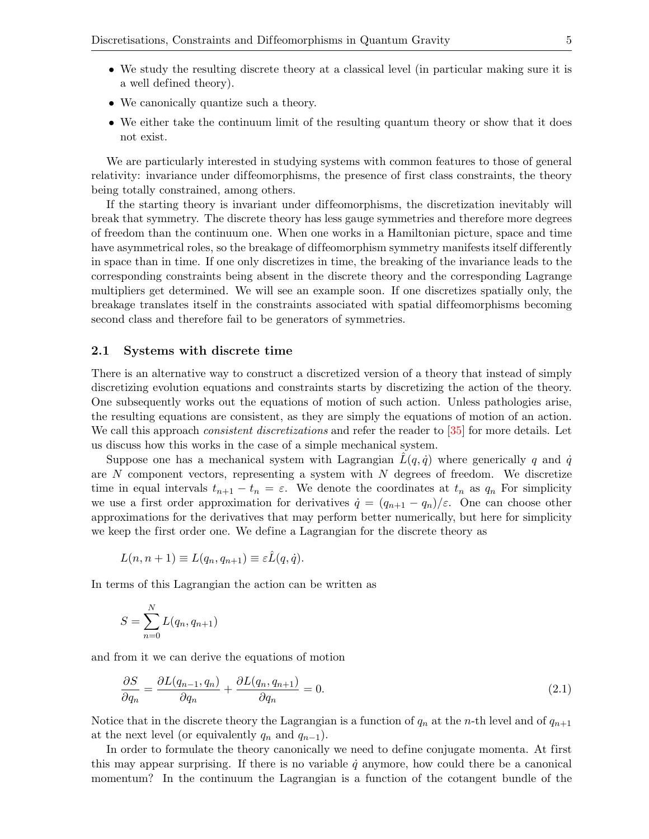- We study the resulting discrete theory at a classical level (in particular making sure it is a well defined theory).
- We canonically quantize such a theory.
- We either take the continuum limit of the resulting quantum theory or show that it does not exist.

We are particularly interested in studying systems with common features to those of general relativity: invariance under diffeomorphisms, the presence of first class constraints, the theory being totally constrained, among others.

If the starting theory is invariant under diffeomorphisms, the discretization inevitably will break that symmetry. The discrete theory has less gauge symmetries and therefore more degrees of freedom than the continuum one. When one works in a Hamiltonian picture, space and time have asymmetrical roles, so the breakage of diffeomorphism symmetry manifests itself differently in space than in time. If one only discretizes in time, the breaking of the invariance leads to the corresponding constraints being absent in the discrete theory and the corresponding Lagrange multipliers get determined. We will see an example soon. If one discretizes spatially only, the breakage translates itself in the constraints associated with spatial diffeomorphisms becoming second class and therefore fail to be generators of symmetries.

#### 2.1 Systems with discrete time

There is an alternative way to construct a discretized version of a theory that instead of simply discretizing evolution equations and constraints starts by discretizing the action of the theory. One subsequently works out the equations of motion of such action. Unless pathologies arise, the resulting equations are consistent, as they are simply the equations of motion of an action. We call this approach *consistent discretizations* and refer the reader to  $\boxed{35}$  for more details. Let us discuss how this works in the case of a simple mechanical system.

Suppose one has a mechanical system with Lagrangian  $\tilde{L}(q, \dot{q})$  where generically q and  $\dot{q}$ are  $N$  component vectors, representing a system with  $N$  degrees of freedom. We discretize time in equal intervals  $t_{n+1} - t_n = \varepsilon$ . We denote the coordinates at  $t_n$  as  $q_n$  For simplicity we use a first order approximation for derivatives  $\dot{q} = (q_{n+1} - q_n)/\varepsilon$ . One can choose other approximations for the derivatives that may perform better numerically, but here for simplicity we keep the first order one. We define a Lagrangian for the discrete theory as

$$
L(n, n + 1) \equiv L(q_n, q_{n+1}) \equiv \varepsilon \hat{L}(q, \dot{q}).
$$

In terms of this Lagrangian the action can be written as

$$
S = \sum_{n=0}^{N} L(q_n, q_{n+1})
$$

and from it we can derive the equations of motion

<span id="page-5-0"></span>
$$
\frac{\partial S}{\partial q_n} = \frac{\partial L(q_{n-1}, q_n)}{\partial q_n} + \frac{\partial L(q_n, q_{n+1})}{\partial q_n} = 0.
$$
\n(2.1)

Notice that in the discrete theory the Lagrangian is a function of  $q_n$  at the n-th level and of  $q_{n+1}$ at the next level (or equivalently  $q_n$  and  $q_{n-1}$ ).

In order to formulate the theory canonically we need to define conjugate momenta. At first this may appear surprising. If there is no variable  $\dot{q}$  anymore, how could there be a canonical momentum? In the continuum the Lagrangian is a function of the cotangent bundle of the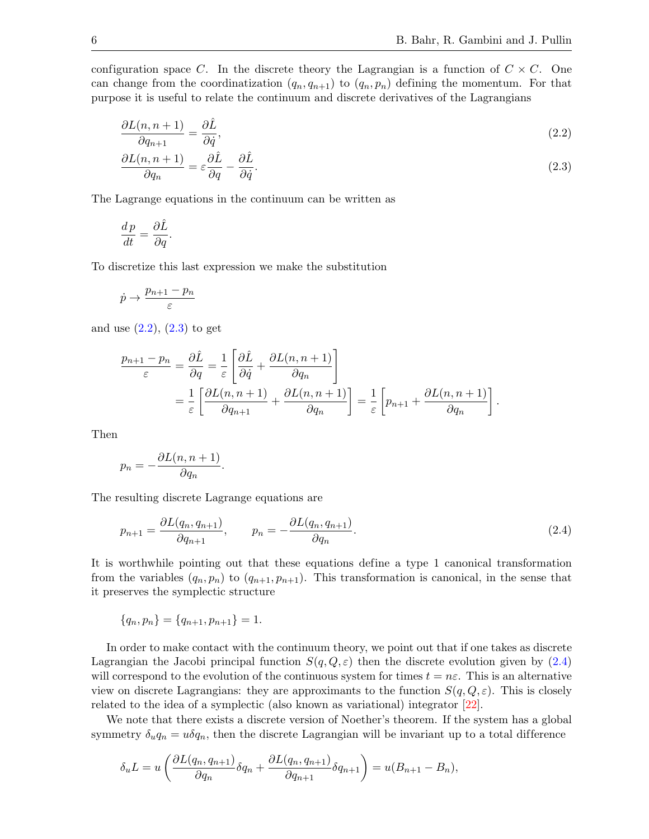configuration space C. In the discrete theory the Lagrangian is a function of  $C \times C$ . One can change from the coordinatization  $(q_n, q_{n+1})$  to  $(q_n, p_n)$  defining the momentum. For that purpose it is useful to relate the continuum and discrete derivatives of the Lagrangians

$$
\frac{\partial L(n, n+1)}{\partial q_{n+1}} = \frac{\partial \hat{L}}{\partial \dot{q}},\tag{2.2}
$$

<span id="page-6-1"></span><span id="page-6-0"></span>
$$
\frac{\partial L(n, n+1)}{\partial q_n} = \varepsilon \frac{\partial \hat{L}}{\partial q} - \frac{\partial \hat{L}}{\partial \dot{q}}.\tag{2.3}
$$

The Lagrange equations in the continuum can be written as

$$
\frac{dp}{dt} = \frac{\partial \hat{L}}{\partial q}.
$$

To discretize this last expression we make the substitution

$$
\dot{p}\rightarrow \frac{p_{n+1}-p_n}{\varepsilon}
$$

and use  $(2.2)$ ,  $(2.3)$  to get

$$
\frac{p_{n+1} - p_n}{\varepsilon} = \frac{\partial \hat{L}}{\partial q} = \frac{1}{\varepsilon} \left[ \frac{\partial \hat{L}}{\partial \dot{q}} + \frac{\partial L(n, n+1)}{\partial q_n} \right]
$$
  
=  $\frac{1}{\varepsilon} \left[ \frac{\partial L(n, n+1)}{\partial q_{n+1}} + \frac{\partial L(n, n+1)}{\partial q_n} \right] = \frac{1}{\varepsilon} \left[ p_{n+1} + \frac{\partial L(n, n+1)}{\partial q_n} \right].$ 

Then

$$
p_n = -\frac{\partial L(n, n+1)}{\partial q_n}.
$$

The resulting discrete Lagrange equations are

<span id="page-6-2"></span>
$$
p_{n+1} = \frac{\partial L(q_n, q_{n+1})}{\partial q_{n+1}}, \qquad p_n = -\frac{\partial L(q_n, q_{n+1})}{\partial q_n}.
$$
\n(2.4)

It is worthwhile pointing out that these equations define a type 1 canonical transformation from the variables  $(q_n, p_n)$  to  $(q_{n+1}, p_{n+1})$ . This transformation is canonical, in the sense that it preserves the symplectic structure

$$
\{q_n, p_n\} = \{q_{n+1}, p_{n+1}\} = 1.
$$

In order to make contact with the continuum theory, we point out that if one takes as discrete Lagrangian the Jacobi principal function  $S(q, Q, \varepsilon)$  then the discrete evolution given by [\(2.4\)](#page-6-2) will correspond to the evolution of the continuous system for times  $t = n\varepsilon$ . This is an alternative view on discrete Lagrangians: they are approximants to the function  $S(q, Q, \varepsilon)$ . This is closely related to the idea of a symplectic (also known as variational) integrator [\[22\]](#page-27-1).

We note that there exists a discrete version of Noether's theorem. If the system has a global symmetry  $\delta_u q_n = u \delta q_n$ , then the discrete Lagrangian will be invariant up to a total difference

$$
\delta_u L = u \left( \frac{\partial L(q_n, q_{n+1})}{\partial q_n} \delta q_n + \frac{\partial L(q_n, q_{n+1})}{\partial q_{n+1}} \delta q_{n+1} \right) = u(B_{n+1} - B_n),
$$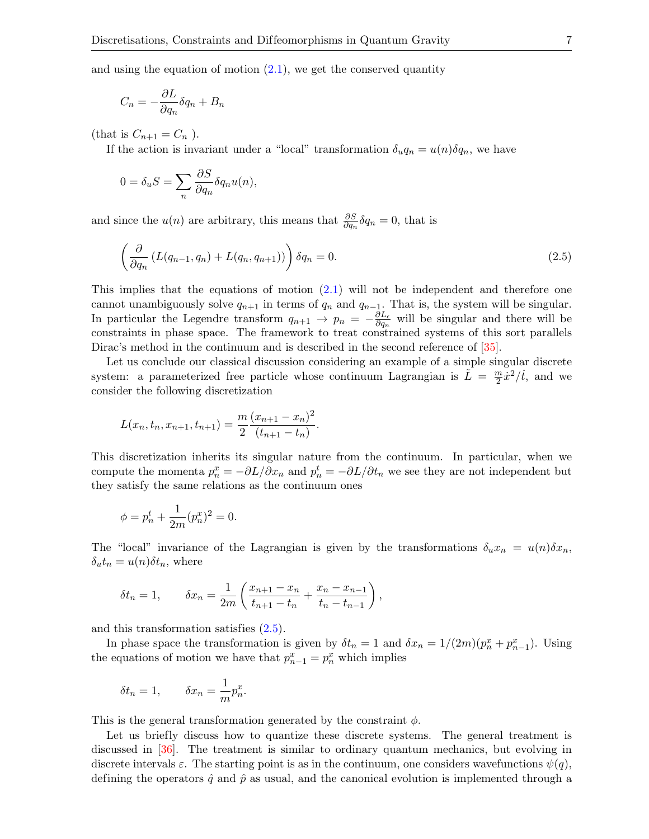and using the equation of motion  $(2.1)$ , we get the conserved quantity

$$
C_n = -\frac{\partial L}{\partial q_n} \delta q_n + B_n
$$

(that is  $C_{n+1} = C_n$ ).

If the action is invariant under a "local" transformation  $\delta_u q_n = u(n) \delta q_n$ , we have

$$
0 = \delta_u S = \sum_n \frac{\partial S}{\partial q_n} \delta q_n u(n),
$$

and since the  $u(n)$  are arbitrary, this means that  $\frac{\partial S}{\partial q_n} \delta q_n = 0$ , that is

<span id="page-7-0"></span>
$$
\left(\frac{\partial}{\partial q_n} \left( L(q_{n-1}, q_n) + L(q_n, q_{n+1}) \right) \right) \delta q_n = 0. \tag{2.5}
$$

This implies that the equations of motion [\(2.1\)](#page-5-0) will not be independent and therefore one cannot unambiguously solve  $q_{n+1}$  in terms of  $q_n$  and  $q_{n-1}$ . That is, the system will be singular. In particular the Legendre transform  $q_{n+1} \to p_n = -\frac{\partial L_{\epsilon}}{\partial q_n}$  $\frac{\partial L_{\epsilon}}{\partial q_n}$  will be singular and there will be constraints in phase space. The framework to treat constrained systems of this sort parallels Dirac's method in the continuum and is described in the second reference of [\[35\]](#page-27-14).

Let us conclude our classical discussion considering an example of a simple singular discrete system: a parameterized free particle whose continuum Lagrangian is  $\tilde{L} = \frac{m}{2}$  $\frac{m}{2}\dot{x}^2/\dot{t}$ , and we consider the following discretization

$$
L(x_n, t_n, x_{n+1}, t_{n+1}) = \frac{m}{2} \frac{(x_{n+1} - x_n)^2}{(t_{n+1} - t_n)}.
$$

This discretization inherits its singular nature from the continuum. In particular, when we compute the momenta  $p_n^x = -\partial L/\partial x_n$  and  $p_n^t = -\partial L/\partial t_n$  we see they are not independent but they satisfy the same relations as the continuum ones

$$
\phi = p_n^t + \frac{1}{2m}(p_n^x)^2 = 0.
$$

The "local" invariance of the Lagrangian is given by the transformations  $\delta_u x_n = u(n) \delta x_n$ ,  $\delta_u t_n = u(n) \delta t_n$ , where

$$
\delta t_n = 1, \qquad \delta x_n = \frac{1}{2m} \left( \frac{x_{n+1} - x_n}{t_{n+1} - t_n} + \frac{x_n - x_{n-1}}{t_n - t_{n-1}} \right),
$$

and this transformation satisfies [\(2.5\)](#page-7-0).

In phase space the transformation is given by  $\delta t_n = 1$  and  $\delta x_n = 1/(2m)(p_n^x + p_{n-1}^x)$ . Using the equations of motion we have that  $p_{n-1}^x = p_n^x$  which implies

$$
\delta t_n = 1, \qquad \delta x_n = \frac{1}{m} p_n^x.
$$

This is the general transformation generated by the constraint  $\phi$ .

Let us briefly discuss how to quantize these discrete systems. The general treatment is discussed in [\[36\]](#page-27-15). The treatment is similar to ordinary quantum mechanics, but evolving in discrete intervals  $\varepsilon$ . The starting point is as in the continuum, one considers wavefunctions  $\psi(q)$ , defining the operators  $\hat{q}$  and  $\hat{p}$  as usual, and the canonical evolution is implemented through a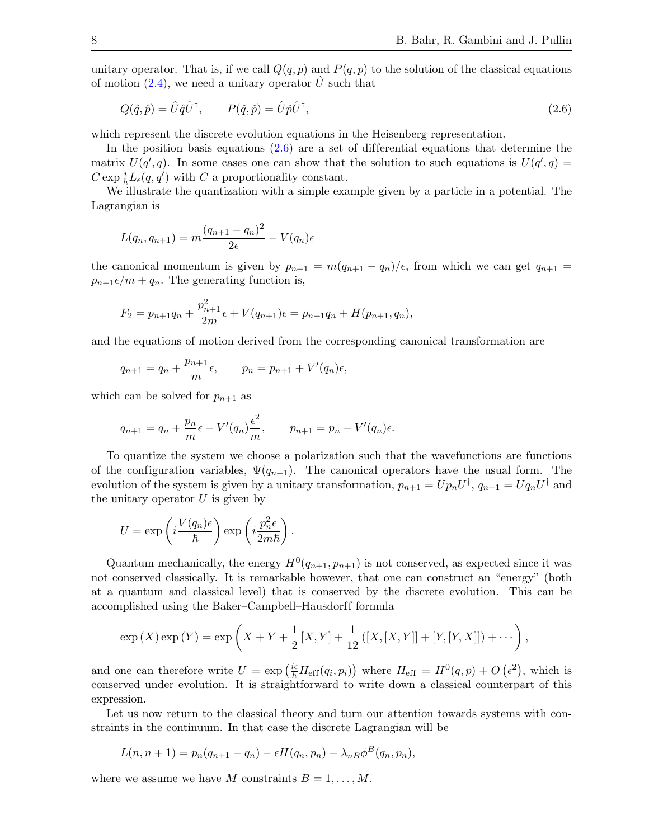unitary operator. That is, if we call  $Q(q, p)$  and  $P(q, p)$  to the solution of the classical equations of motion  $(2.4)$ , we need a unitary operator U such that

<span id="page-8-0"></span>
$$
Q(\hat{q}, \hat{p}) = \hat{U}\hat{q}\hat{U}^{\dagger}, \qquad P(\hat{q}, \hat{p}) = \hat{U}\hat{p}\hat{U}^{\dagger}, \tag{2.6}
$$

which represent the discrete evolution equations in the Heisenberg representation.

In the position basis equations  $(2.6)$  are a set of differential equations that determine the matrix  $U(q', q)$ . In some cases one can show that the solution to such equations is  $U(q', q) =$  $C \exp \frac{i}{\hbar} L_{\epsilon}(q, q')$  with C a proportionality constant.

We illustrate the quantization with a simple example given by a particle in a potential. The Lagrangian is

$$
L(q_n, q_{n+1}) = m \frac{(q_{n+1} - q_n)^2}{2\epsilon} - V(q_n)\epsilon
$$

the canonical momentum is given by  $p_{n+1} = m(q_{n+1} - q_n)/\epsilon$ , from which we can get  $q_{n+1} =$  $p_{n+1}\epsilon/m + q_n$ . The generating function is,

$$
F_2 = p_{n+1}q_n + \frac{p_{n+1}^2}{2m}\epsilon + V(q_{n+1})\epsilon = p_{n+1}q_n + H(p_{n+1}, q_n),
$$

and the equations of motion derived from the corresponding canonical transformation are

$$
q_{n+1} = q_n + \frac{p_{n+1}}{m} \epsilon
$$
,  $p_n = p_{n+1} + V'(q_n) \epsilon$ ,

which can be solved for  $p_{n+1}$  as

$$
q_{n+1} = q_n + \frac{p_n}{m} \epsilon - V'(q_n) \frac{\epsilon^2}{m}, \qquad p_{n+1} = p_n - V'(q_n) \epsilon.
$$

To quantize the system we choose a polarization such that the wavefunctions are functions of the configuration variables,  $\Psi(q_{n+1})$ . The canonical operators have the usual form. The evolution of the system is given by a unitary transformation,  $p_{n+1} = Up_nU^{\dagger}$ ,  $q_{n+1} = Uq_nU^{\dagger}$  and the unitary operator  $U$  is given by

$$
U = \exp\left(i\frac{V(q_n)\epsilon}{\hbar}\right) \exp\left(i\frac{p_n^2\epsilon}{2m\hbar}\right).
$$

Quantum mechanically, the energy  $H^0(q_{n+1}, p_{n+1})$  is not conserved, as expected since it was not conserved classically. It is remarkable however, that one can construct an "energy" (both at a quantum and classical level) that is conserved by the discrete evolution. This can be accomplished using the Baker–Campbell–Hausdorff formula

$$
\exp(X)\exp(Y) = \exp\left(X + Y + \frac{1}{2}[X,Y] + \frac{1}{12}([X,[X,Y]] + [Y,[Y,X]]) + \cdots\right),
$$

and one can therefore write  $U = \exp\left(\frac{i\epsilon}{\hbar}H_{\rm eff}(q_i,p_i)\right)$  where  $H_{\rm eff} = H^0(q,p) + O\left(\epsilon^2\right)$ , which is conserved under evolution. It is straightforward to write down a classical counterpart of this expression.

Let us now return to the classical theory and turn our attention towards systems with constraints in the continuum. In that case the discrete Lagrangian will be

$$
L(n, n + 1) = p_n(q_{n+1} - q_n) - \epsilon H(q_n, p_n) - \lambda_{n} \phi^{B}(q_n, p_n),
$$

where we assume we have M constraints  $B = 1, \ldots, M$ .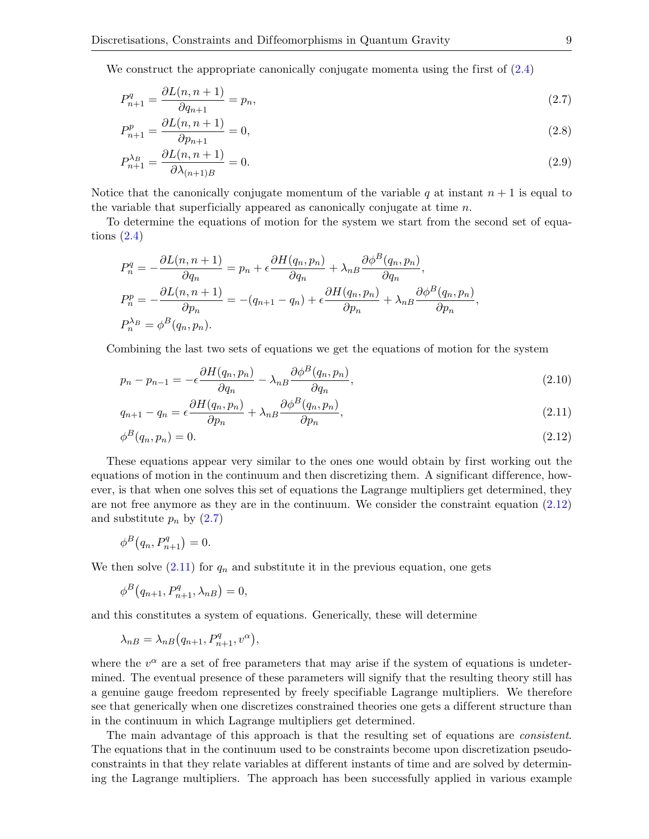We construct the appropriate canonically conjugate momenta using the first of [\(2.4\)](#page-6-2)

$$
P_{n+1}^q = \frac{\partial L(n, n+1)}{\partial q_{n+1}} = p_n,\tag{2.7}
$$

<span id="page-9-1"></span>
$$
P_{n+1}^p = \frac{\partial L(n, n+1)}{\partial p_{n+1}} = 0,
$$
\n(2.8)

$$
P_{n+1}^{\lambda_B} = \frac{\partial L(n, n+1)}{\partial \lambda_{(n+1)B}} = 0.
$$
\n(2.9)

Notice that the canonically conjugate momentum of the variable q at instant  $n + 1$  is equal to the variable that superficially appeared as canonically conjugate at time  $n$ .

To determine the equations of motion for the system we start from the second set of equations  $(2.4)$ 

$$
P_n^q = -\frac{\partial L(n, n+1)}{\partial q_n} = p_n + \epsilon \frac{\partial H(q_n, p_n)}{\partial q_n} + \lambda_{nB} \frac{\partial \phi^B(q_n, p_n)}{\partial q_n},
$$
  
\n
$$
P_n^p = -\frac{\partial L(n, n+1)}{\partial p_n} = -(q_{n+1} - q_n) + \epsilon \frac{\partial H(q_n, p_n)}{\partial p_n} + \lambda_{nB} \frac{\partial \phi^B(q_n, p_n)}{\partial p_n},
$$
  
\n
$$
P_n^{\lambda_B} = \phi^B(q_n, p_n).
$$

Combining the last two sets of equations we get the equations of motion for the system

$$
p_n - p_{n-1} = -\epsilon \frac{\partial H(q_n, p_n)}{\partial q_n} - \lambda_n B \frac{\partial \phi^B(q_n, p_n)}{\partial q_n},
$$
\n(2.10)

$$
q_{n+1} - q_n = \epsilon \frac{\partial H(q_n, p_n)}{\partial p_n} + \lambda_n B \frac{\partial \phi^B(q_n, p_n)}{\partial p_n},
$$
\n(2.11)

<span id="page-9-2"></span><span id="page-9-0"></span>
$$
\phi^B(q_n, p_n) = 0. \tag{2.12}
$$

These equations appear very similar to the ones one would obtain by first working out the equations of motion in the continuum and then discretizing them. A significant difference, however, is that when one solves this set of equations the Lagrange multipliers get determined, they are not free anymore as they are in the continuum. We consider the constraint equation [\(2.12\)](#page-9-0) and substitute  $p_n$  by  $(2.7)$ 

$$
\phi^B\big(q_n, P_{n+1}^q\big) = 0.
$$

We then solve  $(2.11)$  for  $q_n$  and substitute it in the previous equation, one gets

$$
\phi^B\big(q_{n+1}, P_{n+1}^q, \lambda_{nB}\big) = 0,
$$

and this constitutes a system of equations. Generically, these will determine

$$
\lambda_{nB} = \lambda_{nB} (q_{n+1}, P_{n+1}^q, v^{\alpha}),
$$

where the  $v^{\alpha}$  are a set of free parameters that may arise if the system of equations is undetermined. The eventual presence of these parameters will signify that the resulting theory still has a genuine gauge freedom represented by freely specifiable Lagrange multipliers. We therefore see that generically when one discretizes constrained theories one gets a different structure than in the continuum in which Lagrange multipliers get determined.

The main advantage of this approach is that the resulting set of equations are consistent. The equations that in the continuum used to be constraints become upon discretization pseudoconstraints in that they relate variables at different instants of time and are solved by determining the Lagrange multipliers. The approach has been successfully applied in various example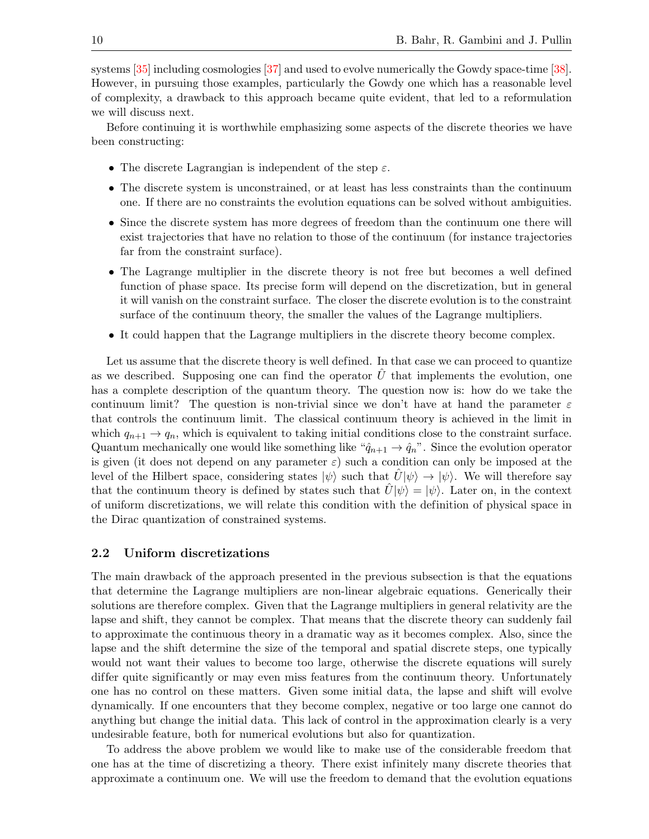systems [\[35\]](#page-27-14) including cosmologies [\[37\]](#page-28-0) and used to evolve numerically the Gowdy space-time [\[38\]](#page-28-1). However, in pursuing those examples, particularly the Gowdy one which has a reasonable level of complexity, a drawback to this approach became quite evident, that led to a reformulation we will discuss next.

Before continuing it is worthwhile emphasizing some aspects of the discrete theories we have been constructing:

- The discrete Lagrangian is independent of the step  $\varepsilon$ .
- The discrete system is unconstrained, or at least has less constraints than the continuum one. If there are no constraints the evolution equations can be solved without ambiguities.
- Since the discrete system has more degrees of freedom than the continuum one there will exist trajectories that have no relation to those of the continuum (for instance trajectories far from the constraint surface).
- The Lagrange multiplier in the discrete theory is not free but becomes a well defined function of phase space. Its precise form will depend on the discretization, but in general it will vanish on the constraint surface. The closer the discrete evolution is to the constraint surface of the continuum theory, the smaller the values of the Lagrange multipliers.
- It could happen that the Lagrange multipliers in the discrete theory become complex.

Let us assume that the discrete theory is well defined. In that case we can proceed to quantize as we described. Supposing one can find the operator  $U$  that implements the evolution, one has a complete description of the quantum theory. The question now is: how do we take the continuum limit? The question is non-trivial since we don't have at hand the parameter  $\varepsilon$ that controls the continuum limit. The classical continuum theory is achieved in the limit in which  $q_{n+1} \to q_n$ , which is equivalent to taking initial conditions close to the constraint surface. Quantum mechanically one would like something like " $\hat{q}_{n+1} \to \hat{q}_n$ ". Since the evolution operator is given (it does not depend on any parameter  $\varepsilon$ ) such a condition can only be imposed at the level of the Hilbert space, considering states  $|\psi\rangle$  such that  $\hat{U}|\psi\rangle \rightarrow |\psi\rangle$ . We will therefore say that the continuum theory is defined by states such that  $\hat{U}|\psi\rangle = |\psi\rangle$ . Later on, in the context of uniform discretizations, we will relate this condition with the definition of physical space in the Dirac quantization of constrained systems.

#### <span id="page-10-0"></span>2.2 Uniform discretizations

The main drawback of the approach presented in the previous subsection is that the equations that determine the Lagrange multipliers are non-linear algebraic equations. Generically their solutions are therefore complex. Given that the Lagrange multipliers in general relativity are the lapse and shift, they cannot be complex. That means that the discrete theory can suddenly fail to approximate the continuous theory in a dramatic way as it becomes complex. Also, since the lapse and the shift determine the size of the temporal and spatial discrete steps, one typically would not want their values to become too large, otherwise the discrete equations will surely differ quite significantly or may even miss features from the continuum theory. Unfortunately one has no control on these matters. Given some initial data, the lapse and shift will evolve dynamically. If one encounters that they become complex, negative or too large one cannot do anything but change the initial data. This lack of control in the approximation clearly is a very undesirable feature, both for numerical evolutions but also for quantization.

To address the above problem we would like to make use of the considerable freedom that one has at the time of discretizing a theory. There exist infinitely many discrete theories that approximate a continuum one. We will use the freedom to demand that the evolution equations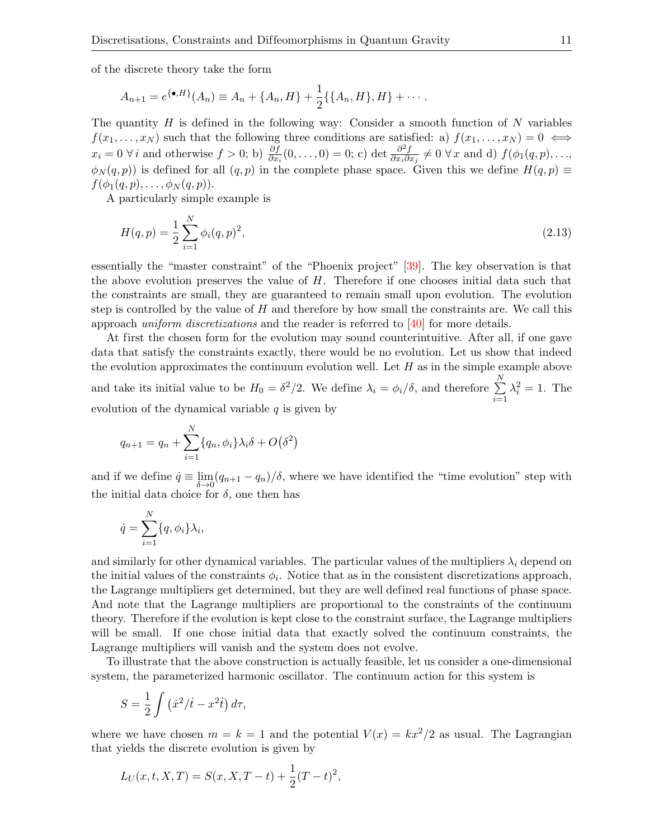of the discrete theory take the form

$$
A_{n+1} = e^{\{\bullet, H\}}(A_n) \equiv A_n + \{A_n, H\} + \frac{1}{2}\{\{A_n, H\}, H\} + \cdots
$$

The quantity  $H$  is defined in the following way: Consider a smooth function of  $N$  variables  $f(x_1, \ldots, x_N)$  such that the following three conditions are satisfied: a)  $f(x_1, \ldots, x_N) = 0 \iff$  $x_i = 0 \,\forall i$  and otherwise  $f > 0$ ; b)  $\frac{\partial f}{\partial x_i}(0, \ldots, 0) = 0$ ; c) det  $\frac{\partial^2 f}{\partial x_i \partial x_i}$  $\frac{\partial^2 f}{\partial x_i \partial x_j} \neq 0 \,\forall x$  and d)  $f(\phi_1(q,p), \ldots,$  $\phi_N(q,p)$ ) is defined for all  $(q, p)$  in the complete phase space. Given this we define  $H(q, p) \equiv$  $f(\phi_1(q,p),\ldots,\phi_N(q,p)).$ 

A particularly simple example is

<span id="page-11-0"></span>
$$
H(q, p) = \frac{1}{2} \sum_{i=1}^{N} \phi_i(q, p)^2,
$$
\n(2.13)

essentially the "master constraint" of the "Phoenix project" [\[39\]](#page-28-2). The key observation is that the above evolution preserves the value of H. Therefore if one chooses initial data such that the constraints are small, they are guaranteed to remain small upon evolution. The evolution step is controlled by the value of  $H$  and therefore by how small the constraints are. We call this approach uniform discretizations and the reader is referred to [\[40\]](#page-28-3) for more details.

At first the chosen form for the evolution may sound counterintuitive. After all, if one gave data that satisfy the constraints exactly, there would be no evolution. Let us show that indeed the evolution approximates the continuum evolution well. Let  $H$  as in the simple example above and take its initial value to be  $H_0 = \delta^2/2$ . We define  $\lambda_i = \phi_i/\delta$ , and therefore  $\sum^N$  $i=1$  $\lambda_i^2 = 1$ . The evolution of the dynamical variable  $q$  is given by

$$
q_{n+1} = q_n + \sum_{i=1}^{N} \{q_n, \phi_i\} \lambda_i \delta + O(\delta^2)
$$

and if we define  $\dot{q} \equiv \lim_{\delta \to 0} (q_{n+1} - q_n)/\delta$ , where we have identified the "time evolution" step with the initial data choice for  $\delta$ , one then has

$$
\dot{q} = \sum_{i=1}^{N} \{q, \phi_i\} \lambda_i,
$$

and similarly for other dynamical variables. The particular values of the multipliers  $\lambda_i$  depend on the initial values of the constraints  $\phi_i$ . Notice that as in the consistent discretizations approach, the Lagrange multipliers get determined, but they are well defined real functions of phase space. And note that the Lagrange multipliers are proportional to the constraints of the continuum theory. Therefore if the evolution is kept close to the constraint surface, the Lagrange multipliers will be small. If one chose initial data that exactly solved the continuum constraints, the Lagrange multipliers will vanish and the system does not evolve.

To illustrate that the above construction is actually feasible, let us consider a one-dimensional system, the parameterized harmonic oscillator. The continuum action for this system is

$$
S = \frac{1}{2} \int (\dot{x}^2 / \dot{t} - x^2 \dot{t}) d\tau,
$$

where we have chosen  $m = k = 1$  and the potential  $V(x) = kx^2/2$  as usual. The Lagrangian that yields the discrete evolution is given by

$$
L_U(x, t, X, T) = S(x, X, T - t) + \frac{1}{2}(T - t)^2,
$$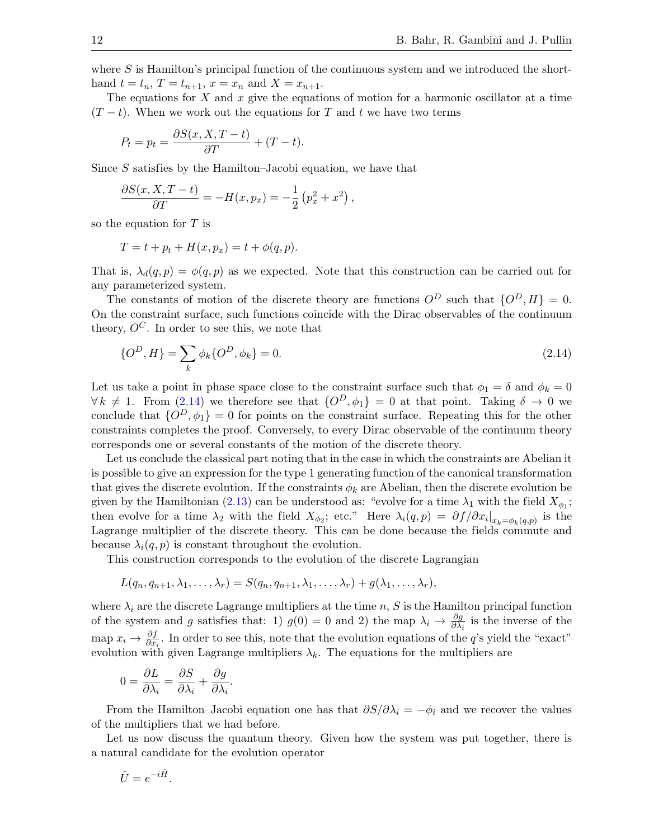where  $S$  is Hamilton's principal function of the continuous system and we introduced the shorthand  $t = t_n$ ,  $T = t_{n+1}$ ,  $x = x_n$  and  $X = x_{n+1}$ .

The equations for  $X$  and  $x$  give the equations of motion for a harmonic oscillator at a time  $(T - t)$ . When we work out the equations for T and t we have two terms

$$
P_t = p_t = \frac{\partial S(x, X, T - t)}{\partial T} + (T - t).
$$

Since S satisfies by the Hamilton–Jacobi equation, we have that

$$
\frac{\partial S(x, X, T - t)}{\partial T} = -H(x, p_x) = -\frac{1}{2} (p_x^2 + x^2),
$$

so the equation for  $T$  is

$$
T = t + p_t + H(x, p_x) = t + \phi(q, p).
$$

That is,  $\lambda_d(q, p) = \phi(q, p)$  as we expected. Note that this construction can be carried out for any parameterized system.

The constants of motion of the discrete theory are functions  $O^D$  such that  $\{O^D, H\} = 0$ . On the constraint surface, such functions coincide with the Dirac observables of the continuum theory,  $O^C$ . In order to see this, we note that

<span id="page-12-0"></span>
$$
\{O^D, H\} = \sum_k \phi_k \{O^D, \phi_k\} = 0.
$$
\n(2.14)

Let us take a point in phase space close to the constraint surface such that  $\phi_1 = \delta$  and  $\phi_k = 0$  $\forall k \neq 1$ . From [\(2.14\)](#page-12-0) we therefore see that  $\{O^D, \phi_1\} = 0$  at that point. Taking  $\delta \to 0$  we conclude that  $\{O^D, \phi_1\} = 0$  for points on the constraint surface. Repeating this for the other constraints completes the proof. Conversely, to every Dirac observable of the continuum theory corresponds one or several constants of the motion of the discrete theory.

Let us conclude the classical part noting that in the case in which the constraints are Abelian it is possible to give an expression for the type 1 generating function of the canonical transformation that gives the discrete evolution. If the constraints  $\phi_k$  are Abelian, then the discrete evolution be given by the Hamiltonian [\(2.13\)](#page-11-0) can be understood as: "evolve for a time  $\lambda_1$  with the field  $X_{\phi_1}$ ; then evolve for a time  $\lambda_2$  with the field  $X_{\phi_2}$ ; etc." Here  $\lambda_i(q,p) = \partial f/\partial x_i|_{x_k=\phi_k(q,p)}$  is the Lagrange multiplier of the discrete theory. This can be done because the fields commute and because  $\lambda_i(q, p)$  is constant throughout the evolution.

This construction corresponds to the evolution of the discrete Lagrangian

$$
L(q_n,q_{n+1},\lambda_1,\ldots,\lambda_r)=S(q_n,q_{n+1},\lambda_1,\ldots,\lambda_r)+g(\lambda_1,\ldots,\lambda_r),
$$

where  $\lambda_i$  are the discrete Lagrange multipliers at the time n, S is the Hamilton principal function of the system and g satisfies that: 1)  $g(0) = 0$  and 2) the map  $\lambda_i \to \frac{\partial g}{\partial \lambda_i}$  is the inverse of the map  $x_i \to \frac{\partial f}{\partial x_i}$ . In order to see this, note that the evolution equations of the q's yield the "exact" evolution with given Lagrange multipliers  $\lambda_k$ . The equations for the multipliers are

$$
0 = \frac{\partial L}{\partial \lambda_i} = \frac{\partial S}{\partial \lambda_i} + \frac{\partial g}{\partial \lambda_i}.
$$

From the Hamilton–Jacobi equation one has that  $\partial S/\partial \lambda_i = -\phi_i$  and we recover the values of the multipliers that we had before.

Let us now discuss the quantum theory. Given how the system was put together, there is a natural candidate for the evolution operator

$$
\hat{U} = e^{-i\hat{H}}.
$$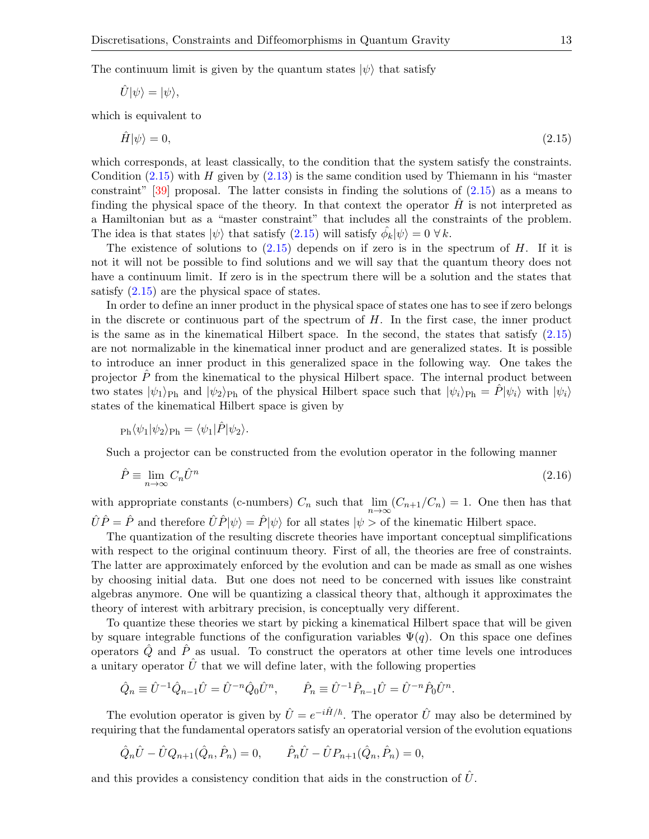The continuum limit is given by the quantum states  $|\psi\rangle$  that satisfy

$$
\hat{U}|\psi\rangle = |\psi\rangle,
$$

which is equivalent to

<span id="page-13-0"></span>
$$
\hat{H}|\psi\rangle = 0,\tag{2.15}
$$

which corresponds, at least classically, to the condition that the system satisfy the constraints. Condition  $(2.15)$  with H given by  $(2.13)$  is the same condition used by Thiemann in his "master constraint"  $[39]$  proposal. The latter consists in finding the solutions of  $(2.15)$  as a means to finding the physical space of the theory. In that context the operator  $H$  is not interpreted as a Hamiltonian but as a "master constraint" that includes all the constraints of the problem. The idea is that states  $|\psi\rangle$  that satisfy  $(2.15)$  will satisfy  $\hat{\phi_k}|\psi\rangle = 0 \,\forall k$ .

The existence of solutions to  $(2.15)$  depends on if zero is in the spectrum of H. If it is not it will not be possible to find solutions and we will say that the quantum theory does not have a continuum limit. If zero is in the spectrum there will be a solution and the states that satisfy [\(2.15\)](#page-13-0) are the physical space of states.

In order to define an inner product in the physical space of states one has to see if zero belongs in the discrete or continuous part of the spectrum of  $H$ . In the first case, the inner product is the same as in the kinematical Hilbert space. In the second, the states that satisfy  $(2.15)$ are not normalizable in the kinematical inner product and are generalized states. It is possible to introduce an inner product in this generalized space in the following way. One takes the projector  $\hat{P}$  from the kinematical to the physical Hilbert space. The internal product between two states  $|\psi_1\rangle_{\text{Ph}}$  and  $|\psi_2\rangle_{\text{Ph}}$  of the physical Hilbert space such that  $|\psi_i\rangle_{\text{Ph}} = \hat{P}|\psi_i\rangle$  with  $|\psi_i\rangle$ states of the kinematical Hilbert space is given by

$$
_{\rm Ph}\langle\psi_{1}|\psi_{2}\rangle_{\rm Ph}=\langle\psi_{1}|\hat{P}|\psi_{2}\rangle.
$$

Such a projector can be constructed from the evolution operator in the following manner

<span id="page-13-1"></span>
$$
\hat{P} \equiv \lim_{n \to \infty} C_n \hat{U}^n \tag{2.16}
$$

with appropriate constants (c-numbers)  $C_n$  such that  $\lim_{n\to\infty} (C_{n+1}/C_n) = 1$ . One then has that  $\hat{U}\hat{P}=\hat{P}$  and therefore  $\hat{U}\hat{P}|\psi\rangle=\hat{P}|\psi\rangle$  for all states  $|\psi\rangle$  of the kinematic Hilbert space.

The quantization of the resulting discrete theories have important conceptual simplifications with respect to the original continuum theory. First of all, the theories are free of constraints. The latter are approximately enforced by the evolution and can be made as small as one wishes by choosing initial data. But one does not need to be concerned with issues like constraint algebras anymore. One will be quantizing a classical theory that, although it approximates the theory of interest with arbitrary precision, is conceptually very different.

To quantize these theories we start by picking a kinematical Hilbert space that will be given by square integrable functions of the configuration variables  $\Psi(q)$ . On this space one defines operators  $\hat{Q}$  and  $\hat{P}$  as usual. To construct the operators at other time levels one introduces a unitary operator  $\hat{U}$  that we will define later, with the following properties

$$
\hat{Q}_n \equiv \hat{U}^{-1} \hat{Q}_{n-1} \hat{U} = \hat{U}^{-n} \hat{Q}_0 \hat{U}^n, \qquad \hat{P}_n \equiv \hat{U}^{-1} \hat{P}_{n-1} \hat{U} = \hat{U}^{-n} \hat{P}_0 \hat{U}^n.
$$

The evolution operator is given by  $\hat{U} = e^{-i\hat{H}/\hbar}$ . The operator  $\hat{U}$  may also be determined by requiring that the fundamental operators satisfy an operatorial version of the evolution equations

$$
\hat{Q}_n \hat{U} - \hat{U} Q_{n+1} (\hat{Q}_n, \hat{P}_n) = 0, \qquad \hat{P}_n \hat{U} - \hat{U} P_{n+1} (\hat{Q}_n, \hat{P}_n) = 0,
$$

and this provides a consistency condition that aids in the construction of  $\hat{U}$ .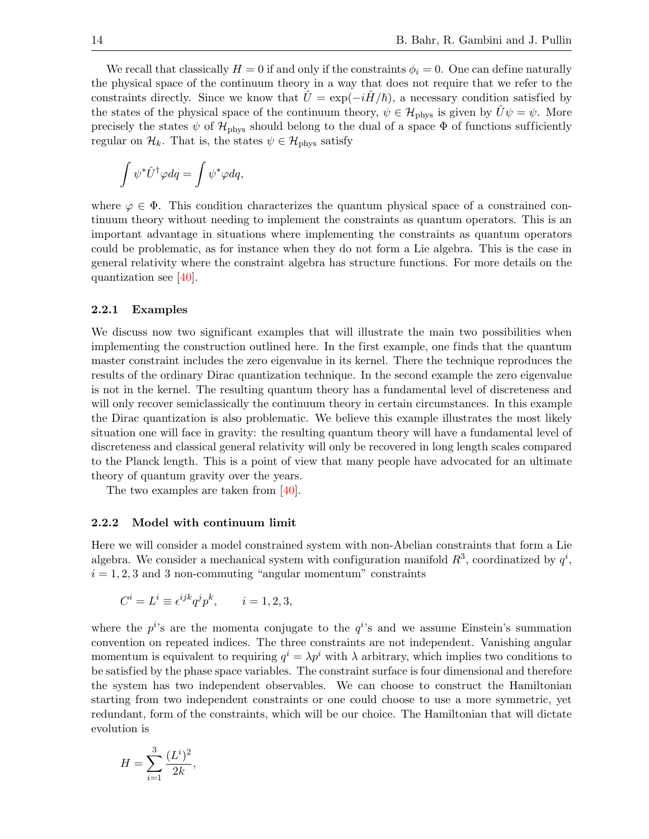We recall that classically  $H = 0$  if and only if the constraints  $\phi_i = 0$ . One can define naturally the physical space of the continuum theory in a way that does not require that we refer to the constraints directly. Since we know that  $U = \exp(-iH/\hbar)$ , a necessary condition satisfied by the states of the physical space of the continuum theory,  $\psi \in \mathcal{H}_{\text{phys}}$  is given by  $U\psi = \psi$ . More precisely the states  $\psi$  of  $\mathcal{H}_{\text{phys}}$  should belong to the dual of a space  $\Phi$  of functions sufficiently regular on  $\mathcal{H}_k$ . That is, the states  $\psi \in \mathcal{H}_{\text{phys}}$  satisfy

$$
\int \psi^* \hat{U}^\dagger \varphi dq = \int \psi^* \varphi dq,
$$

where  $\varphi \in \Phi$ . This condition characterizes the quantum physical space of a constrained continuum theory without needing to implement the constraints as quantum operators. This is an important advantage in situations where implementing the constraints as quantum operators could be problematic, as for instance when they do not form a Lie algebra. This is the case in general relativity where the constraint algebra has structure functions. For more details on the quantization see [\[40\]](#page-28-3).

#### 2.2.1 Examples

We discuss now two significant examples that will illustrate the main two possibilities when implementing the construction outlined here. In the first example, one finds that the quantum master constraint includes the zero eigenvalue in its kernel. There the technique reproduces the results of the ordinary Dirac quantization technique. In the second example the zero eigenvalue is not in the kernel. The resulting quantum theory has a fundamental level of discreteness and will only recover semiclassically the continuum theory in certain circumstances. In this example the Dirac quantization is also problematic. We believe this example illustrates the most likely situation one will face in gravity: the resulting quantum theory will have a fundamental level of discreteness and classical general relativity will only be recovered in long length scales compared to the Planck length. This is a point of view that many people have advocated for an ultimate theory of quantum gravity over the years.

The two examples are taken from [\[40\]](#page-28-3).

#### 2.2.2 Model with continuum limit

Here we will consider a model constrained system with non-Abelian constraints that form a Lie algebra. We consider a mechanical system with configuration manifold  $R^3$ , coordinatized by  $q^i$ ,  $i = 1, 2, 3$  and 3 non-commuting "angular momentum" constraints

$$
C^i = L^i \equiv \epsilon^{ijk} q^j p^k, \qquad i = 1, 2, 3,
$$

where the  $p^{i}$ 's are the momenta conjugate to the  $q^{i}$ 's and we assume Einstein's summation convention on repeated indices. The three constraints are not independent. Vanishing angular momentum is equivalent to requiring  $q^i = \lambda p^i$  with  $\lambda$  arbitrary, which implies two conditions to be satisfied by the phase space variables. The constraint surface is four dimensional and therefore the system has two independent observables. We can choose to construct the Hamiltonian starting from two independent constraints or one could choose to use a more symmetric, yet redundant, form of the constraints, which will be our choice. The Hamiltonian that will dictate evolution is

$$
H = \sum_{i=1}^{3} \frac{(L^i)^2}{2k},
$$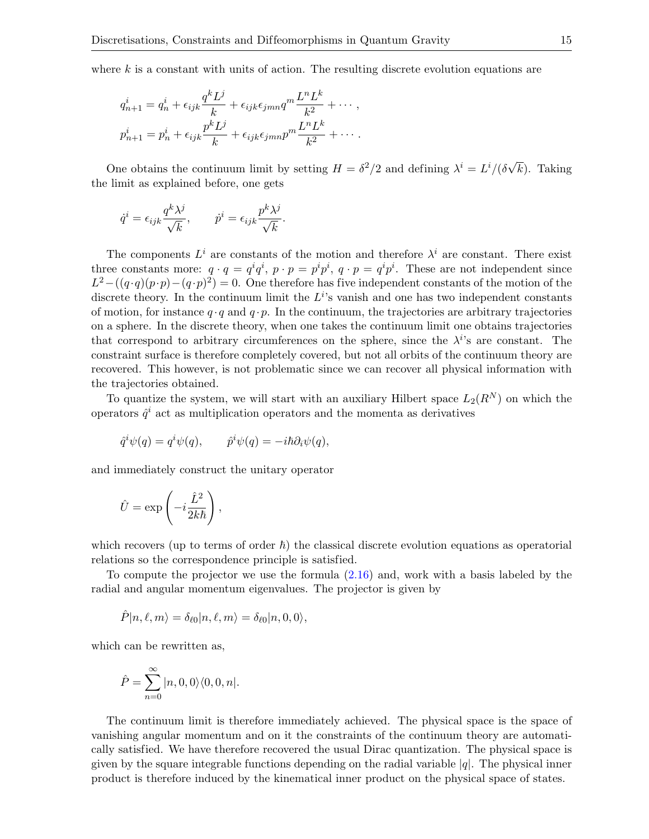where  $k$  is a constant with units of action. The resulting discrete evolution equations are

$$
q_{n+1}^i = q_n^i + \epsilon_{ijk} \frac{q^k L^j}{k} + \epsilon_{ijk} \epsilon_{jmn} q^m \frac{L^n L^k}{k^2} + \cdots,
$$
  

$$
p_{n+1}^i = p_n^i + \epsilon_{ijk} \frac{p^k L^j}{k} + \epsilon_{ijk} \epsilon_{jmn} p^m \frac{L^n L^k}{k^2} + \cdots.
$$

One obtains the continuum limit by setting  $H = \delta^2/2$  and defining  $\lambda^i = L^i/(\delta \sqrt{\frac{\delta^i}{n}})$  $k$ ). Taking the limit as explained before, one gets

$$
\dot{q}^i = \epsilon_{ijk} \frac{q^k \lambda^j}{\sqrt{k}}, \qquad \dot{p}^i = \epsilon_{ijk} \frac{p^k \lambda^j}{\sqrt{k}}.
$$

The components  $L^i$  are constants of the motion and therefore  $\lambda^i$  are constant. There exist three constants more:  $q \cdot q = q^i q^i$ ,  $p \cdot p = p^i p^i$ ,  $q \cdot p = q^i p^i$ . These are not independent since  $L^2-((q\cdot q)(p\cdot p)-(q\cdot p)^2)=0.$  One therefore has five independent constants of the motion of the discrete theory. In the continuum limit the  $L^{i}$ 's vanish and one has two independent constants of motion, for instance  $q \cdot q$  and  $q \cdot p$ . In the continuum, the trajectories are arbitrary trajectories on a sphere. In the discrete theory, when one takes the continuum limit one obtains trajectories that correspond to arbitrary circumferences on the sphere, since the  $\lambda^{i}$ 's are constant. The constraint surface is therefore completely covered, but not all orbits of the continuum theory are recovered. This however, is not problematic since we can recover all physical information with the trajectories obtained.

To quantize the system, we will start with an auxiliary Hilbert space  $L_2(R^N)$  on which the operators  $\hat{q}^i$  act as multiplication operators and the momenta as derivatives

$$
\hat{q}^i \psi(q) = q^i \psi(q), \qquad \hat{p}^i \psi(q) = -i\hbar \partial_i \psi(q),
$$

and immediately construct the unitary operator

$$
\hat{U} = \exp\left(-i\frac{\hat{L}^2}{2k\hbar}\right),\,
$$

which recovers (up to terms of order  $\hbar$ ) the classical discrete evolution equations as operatorial relations so the correspondence principle is satisfied.

To compute the projector we use the formula [\(2.16\)](#page-13-1) and, work with a basis labeled by the radial and angular momentum eigenvalues. The projector is given by

$$
\hat{P} |n,\ell,m\rangle = \delta_{\ell 0} |n,\ell,m\rangle = \delta_{\ell 0} |n,0,0\rangle,
$$

which can be rewritten as,

$$
\hat{P} = \sum_{n=0}^{\infty} |n, 0, 0\rangle\langle0, 0, n|.
$$

The continuum limit is therefore immediately achieved. The physical space is the space of vanishing angular momentum and on it the constraints of the continuum theory are automatically satisfied. We have therefore recovered the usual Dirac quantization. The physical space is given by the square integrable functions depending on the radial variable  $|q|$ . The physical inner product is therefore induced by the kinematical inner product on the physical space of states.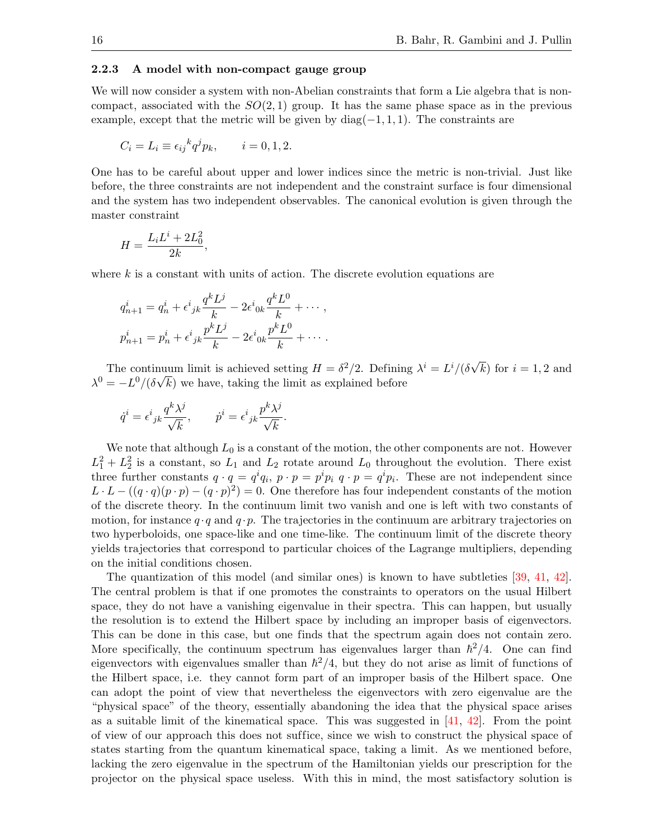#### 2.2.3 A model with non-compact gauge group

We will now consider a system with non-Abelian constraints that form a Lie algebra that is noncompact, associated with the  $SO(2,1)$  group. It has the same phase space as in the previous example, except that the metric will be given by  $diag(-1, 1, 1)$ . The constraints are

$$
C_i = L_i \equiv \epsilon_{ij}{}^k q^j p_k, \qquad i = 0, 1, 2.
$$

One has to be careful about upper and lower indices since the metric is non-trivial. Just like before, the three constraints are not independent and the constraint surface is four dimensional and the system has two independent observables. The canonical evolution is given through the master constraint

$$
H = \frac{L_i L^i + 2L_0^2}{2k},
$$

where  $k$  is a constant with units of action. The discrete evolution equations are

$$
q_{n+1}^i = q_n^i + \epsilon^i{}_{jk} \frac{q^k L^j}{k} - 2\epsilon^i{}_{0k} \frac{q^k L^0}{k} + \cdots ,
$$
  

$$
p_{n+1}^i = p_n^i + \epsilon^i{}_{jk} \frac{p^k L^j}{k} - 2\epsilon^i{}_{0k} \frac{p^k L^0}{k} + \cdots .
$$

The continuum limit is achieved setting  $H = \delta^2/2$ . Defining  $\lambda^i = L^i/(\delta \sqrt{\frac{\delta^2}{n}})$ nuum limit is achieved setting  $H = \delta^2/2$ . Defining  $\lambda^i = L^i/(\delta\sqrt{k})$  for  $i = 1, 2$  and  $\lambda^{0} = -L^{0}/(\delta\sqrt{k})$  we have, taking the limit as explained before

$$
\dot{q}^i = \epsilon^i{}_{jk} \frac{q^k \lambda^j}{\sqrt{k}}, \qquad \dot{p}^i = \epsilon^i{}_{jk} \frac{p^k \lambda^j}{\sqrt{k}}.
$$

We note that although  $L_0$  is a constant of the motion, the other components are not. However  $L_1^2 + L_2^2$  is a constant, so  $L_1$  and  $L_2$  rotate around  $L_0$  throughout the evolution. There exist three further constants  $q \cdot q = q^i q_i$ ,  $p \cdot p = p^i p_i$ ,  $q \cdot p = q^i p_i$ . These are not independent since  $L \cdot L - ((q \cdot q)(p \cdot p) - (q \cdot p)^2) = 0$ . One therefore has four independent constants of the motion of the discrete theory. In the continuum limit two vanish and one is left with two constants of motion, for instance  $q \cdot q$  and  $q \cdot p$ . The trajectories in the continuum are arbitrary trajectories on two hyperboloids, one space-like and one time-like. The continuum limit of the discrete theory yields trajectories that correspond to particular choices of the Lagrange multipliers, depending on the initial conditions chosen.

The quantization of this model (and similar ones) is known to have subtleties [\[39,](#page-28-2) [41,](#page-28-4) [42\]](#page-28-5). The central problem is that if one promotes the constraints to operators on the usual Hilbert space, they do not have a vanishing eigenvalue in their spectra. This can happen, but usually the resolution is to extend the Hilbert space by including an improper basis of eigenvectors. This can be done in this case, but one finds that the spectrum again does not contain zero. More specifically, the continuum spectrum has eigenvalues larger than  $\hbar^2/4$ . One can find eigenvectors with eigenvalues smaller than  $\hbar^2/4$ , but they do not arise as limit of functions of the Hilbert space, i.e. they cannot form part of an improper basis of the Hilbert space. One can adopt the point of view that nevertheless the eigenvectors with zero eigenvalue are the "physical space" of the theory, essentially abandoning the idea that the physical space arises as a suitable limit of the kinematical space. This was suggested in  $[41, 42]$  $[41, 42]$  $[41, 42]$ . From the point of view of our approach this does not suf fice, since we wish to construct the physical space of states starting from the quantum kinematical space, taking a limit. As we mentioned before, lacking the zero eigenvalue in the spectrum of the Hamiltonian yields our prescription for the projector on the physical space useless. With this in mind, the most satisfactory solution is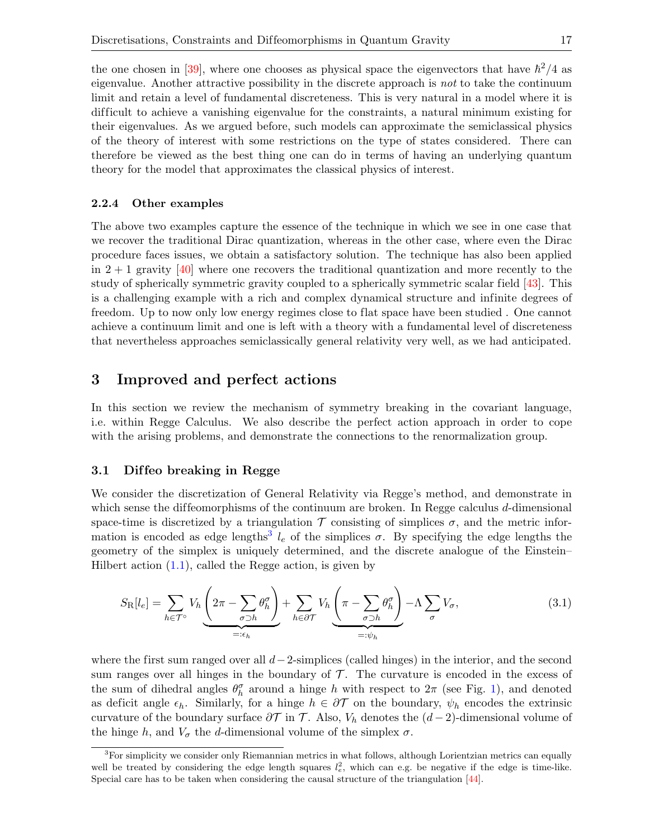the one chosen in [\[39\]](#page-28-2), where one chooses as physical space the eigenvectors that have  $\hbar^2/4$  as eigenvalue. Another attractive possibility in the discrete approach is not to take the continuum limit and retain a level of fundamental discreteness. This is very natural in a model where it is dif ficult to achieve a vanishing eigenvalue for the constraints, a natural minimum existing for their eigenvalues. As we argued before, such models can approximate the semiclassical physics of the theory of interest with some restrictions on the type of states considered. There can therefore be viewed as the best thing one can do in terms of having an underlying quantum theory for the model that approximates the classical physics of interest.

#### 2.2.4 Other examples

The above two examples capture the essence of the technique in which we see in one case that we recover the traditional Dirac quantization, whereas in the other case, where even the Dirac procedure faces issues, we obtain a satisfactory solution. The technique has also been applied in  $2 + 1$  gravity [\[40\]](#page-28-3) where one recovers the traditional quantization and more recently to the study of spherically symmetric gravity coupled to a spherically symmetric scalar field [\[43\]](#page-28-6). This is a challenging example with a rich and complex dynamical structure and infinite degrees of freedom. Up to now only low energy regimes close to flat space have been studied . One cannot achieve a continuum limit and one is left with a theory with a fundamental level of discreteness that nevertheless approaches semiclassically general relativity very well, as we had anticipated.

## <span id="page-17-0"></span>3 Improved and perfect actions

In this section we review the mechanism of symmetry breaking in the covariant language, i.e. within Regge Calculus. We also describe the perfect action approach in order to cope with the arising problems, and demonstrate the connections to the renormalization group.

#### 3.1 Dif feo breaking in Regge

We consider the discretization of General Relativity via Regge's method, and demonstrate in which sense the diffeomorphisms of the continuum are broken. In Regge calculus  $d$ -dimensional space-time is discretized by a triangulation  $\mathcal T$  consisting of simplices  $\sigma$ , and the metric infor-mation is encoded as edge lengths<sup>[3](#page-17-1)</sup>  $l_e$  of the simplices  $\sigma$ . By specifying the edge lengths the geometry of the simplex is uniquely determined, and the discrete analogue of the Einstein– Hilbert action  $(1.1)$ , called the Regge action, is given by

<span id="page-17-2"></span>
$$
S_{\rm R}[l_e] = \sum_{h \in \mathcal{T}^{\circ}} V_h \underbrace{\left(2\pi - \sum_{\sigma \supset h} \theta_h^{\sigma}\right)}_{=: \epsilon_h} + \sum_{h \in \partial \mathcal{T}} V_h \underbrace{\left(\pi - \sum_{\sigma \supset h} \theta_h^{\sigma}\right)}_{=: \psi_h} - \Lambda \sum_{\sigma} V_{\sigma}, \tag{3.1}
$$

where the first sum ranged over all  $d-2$ -simplices (called hinges) in the interior, and the second sum ranges over all hinges in the boundary of  $\mathcal T$ . The curvature is encoded in the excess of the sum of dihedral angles  $\theta_h^{\sigma}$  around a hinge h with respect to  $2\pi$  (see Fig. [1\)](#page-18-0), and denoted as deficit angle  $\epsilon_h$ . Similarly, for a hinge  $h \in \partial \mathcal{T}$  on the boundary,  $\psi_h$  encodes the extrinsic curvature of the boundary surface  $\partial \mathcal{T}$  in T. Also,  $V_h$  denotes the  $(d-2)$ -dimensional volume of the hinge h, and  $V_{\sigma}$  the d-dimensional volume of the simplex  $\sigma$ .

<span id="page-17-1"></span> ${}^{3}$ For simplicity we consider only Riemannian metrics in what follows, although Lorientzian metrics can equally well be treated by considering the edge length squares  $l_e^2$ , which can e.g. be negative if the edge is time-like. Special care has to be taken when considering the causal structure of the triangulation [\[44\]](#page-28-7).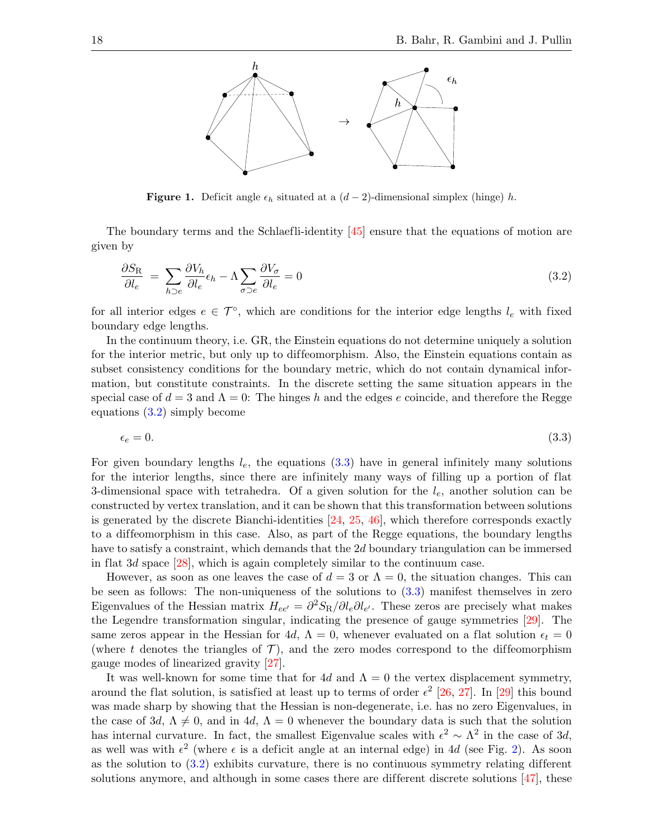

<span id="page-18-1"></span><span id="page-18-0"></span>**Figure 1.** Deficit angle  $\epsilon_h$  situated at a  $(d-2)$ -dimensional simplex (hinge) h.

The boundary terms and the Schlaefli-identity [\[45\]](#page-28-8) ensure that the equations of motion are given by

$$
\frac{\partial S_{\rm R}}{\partial l_e} = \sum_{h \supset e} \frac{\partial V_h}{\partial l_e} \epsilon_h - \Lambda \sum_{\sigma \supset e} \frac{\partial V_\sigma}{\partial l_e} = 0 \tag{3.2}
$$

for all interior edges  $e \in \mathcal{T}^{\circ}$ , which are conditions for the interior edge lengths  $l_e$  with fixed boundary edge lengths.

In the continuum theory, i.e. GR, the Einstein equations do not determine uniquely a solution for the interior metric, but only up to diffeomorphism. Also, the Einstein equations contain as subset consistency conditions for the boundary metric, which do not contain dynamical information, but constitute constraints. In the discrete setting the same situation appears in the special case of  $d = 3$  and  $\Lambda = 0$ : The hinges h and the edges e coincide, and therefore the Regge equations [\(3.2\)](#page-18-1) simply become

<span id="page-18-2"></span>
$$
\epsilon_e = 0. \tag{3.3}
$$

For given boundary lengths  $l_e$ , the equations  $(3.3)$  have in general infinitely many solutions for the interior lengths, since there are infinitely many ways of filling up a portion of flat 3-dimensional space with tetrahedra. Of a given solution for the  $l_e$ , another solution can be constructed by vertex translation, and it can be shown that this transformation between solutions is generated by the discrete Bianchi-identities [\[24,](#page-27-3) [25,](#page-27-4) [46\]](#page-28-9), which therefore corresponds exactly to a dif feomorphism in this case. Also, as part of the Regge equations, the boundary lengths have to satisfy a constraint, which demands that the 2d boundary triangulation can be immersed in flat 3d space [\[28\]](#page-27-7), which is again completely similar to the continuum case.

However, as soon as one leaves the case of  $d = 3$  or  $\Lambda = 0$ , the situation changes. This can be seen as follows: The non-uniqueness of the solutions to [\(3.3\)](#page-18-2) manifest themselves in zero Eigenvalues of the Hessian matrix  $H_{ee'} = \frac{\partial^2 S_{\rm R}}{\partial l_e \partial l_{e'}}$ . These zeros are precisely what makes the Legendre transformation singular, indicating the presence of gauge symmetries [\[29\]](#page-27-8). The same zeros appear in the Hessian for 4d,  $\Lambda = 0$ , whenever evaluated on a flat solution  $\epsilon_t = 0$ (where t denotes the triangles of  $\mathcal{T}$ ), and the zero modes correspond to the diffeomorphism gauge modes of linearized gravity [\[27\]](#page-27-6).

It was well-known for some time that for 4d and  $\Lambda = 0$  the vertex displacement symmetry, around the flat solution, is satisfied at least up to terms of order  $\epsilon^2$  [\[26,](#page-27-5) [27\]](#page-27-6). In [\[29\]](#page-27-8) this bound was made sharp by showing that the Hessian is non-degenerate, i.e. has no zero Eigenvalues, in the case of 3d,  $\Lambda \neq 0$ , and in 4d,  $\Lambda = 0$  whenever the boundary data is such that the solution has internal curvature. In fact, the smallest Eigenvalue scales with  $\epsilon^2 \sim \Lambda^2$  in the case of 3d, as well was with  $\epsilon^2$  (where  $\epsilon$  is a deficit angle at an internal edge) in 4d (see Fig. [2\)](#page-19-0). As soon as the solution to  $(3.2)$  exhibits curvature, there is no continuous symmetry relating different solutions anymore, and although in some cases there are different discrete solutions  $[47]$ , these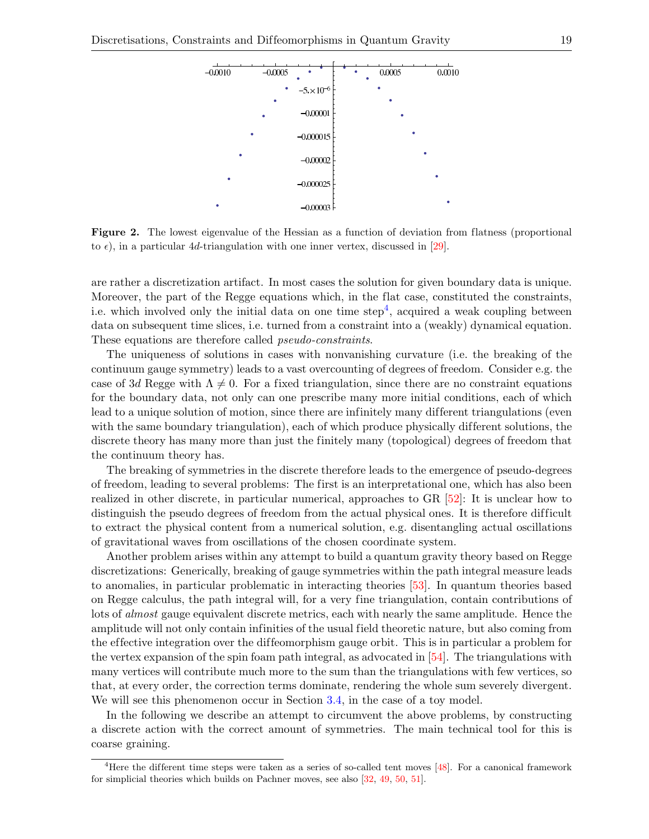

<span id="page-19-0"></span>Figure 2. The lowest eigenvalue of the Hessian as a function of deviation from flatness (proportional to  $\epsilon$ ), in a particular 4d-triangulation with one inner vertex, discussed in [\[29\]](#page-27-8).

are rather a discretization artifact. In most cases the solution for given boundary data is unique. Moreover, the part of the Regge equations which, in the flat case, constituted the constraints, i.e. which involved only the initial data on one time  $step<sup>4</sup>$  $step<sup>4</sup>$  $step<sup>4</sup>$ , acquired a weak coupling between data on subsequent time slices, i.e. turned from a constraint into a (weakly) dynamical equation. These equations are therefore called pseudo-constraints.

The uniqueness of solutions in cases with nonvanishing curvature (i.e. the breaking of the continuum gauge symmetry) leads to a vast overcounting of degrees of freedom. Consider e.g. the case of 3d Regge with  $\Lambda \neq 0$ . For a fixed triangulation, since there are no constraint equations for the boundary data, not only can one prescribe many more initial conditions, each of which lead to a unique solution of motion, since there are infinitely many different triangulations (even with the same boundary triangulation), each of which produce physically different solutions, the discrete theory has many more than just the finitely many (topological) degrees of freedom that the continuum theory has.

The breaking of symmetries in the discrete therefore leads to the emergence of pseudo-degrees of freedom, leading to several problems: The first is an interpretational one, which has also been realized in other discrete, in particular numerical, approaches to GR [\[52\]](#page-28-11): It is unclear how to distinguish the pseudo degrees of freedom from the actual physical ones. It is therefore difficult to extract the physical content from a numerical solution, e.g. disentangling actual oscillations of gravitational waves from oscillations of the chosen coordinate system.

Another problem arises within any attempt to build a quantum gravity theory based on Regge discretizations: Generically, breaking of gauge symmetries within the path integral measure leads to anomalies, in particular problematic in interacting theories [\[53\]](#page-28-12). In quantum theories based on Regge calculus, the path integral will, for a very fine triangulation, contain contributions of lots of *almost* gauge equivalent discrete metrics, each with nearly the same amplitude. Hence the amplitude will not only contain infinities of the usual field theoretic nature, but also coming from the effective integration over the diffeomorphism gauge orbit. This is in particular a problem for the vertex expansion of the spin foam path integral, as advocated in [\[54\]](#page-28-13). The triangulations with many vertices will contribute much more to the sum than the triangulations with few vertices, so that, at every order, the correction terms dominate, rendering the whole sum severely divergent. We will see this phenomenon occur in Section [3.4,](#page-22-0) in the case of a toy model.

In the following we describe an attempt to circumvent the above problems, by constructing a discrete action with the correct amount of symmetries. The main technical tool for this is coarse graining.

<span id="page-19-1"></span><sup>&</sup>lt;sup>4</sup>Here the different time steps were taken as a series of so-called tent moves [\[48\]](#page-28-14). For a canonical framework for simplicial theories which builds on Pachner moves, see also [\[32,](#page-27-11) [49,](#page-28-15) [50,](#page-28-16) [51\]](#page-28-17).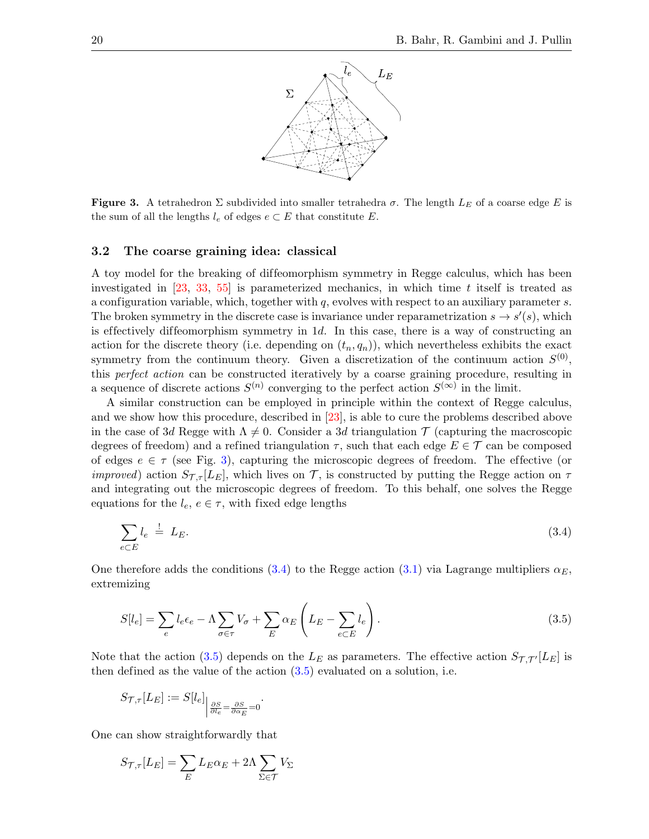

<span id="page-20-0"></span>**Figure 3.** A tetrahedron  $\Sigma$  subdivided into smaller tetrahedra  $\sigma$ . The length  $L_E$  of a coarse edge E is the sum of all the lengths  $l_e$  of edges  $e \subset E$  that constitute E.

#### 3.2 The coarse graining idea: classical

A toy model for the breaking of dif feomorphism symmetry in Regge calculus, which has been investigated in [\[23,](#page-27-2) [33,](#page-27-12) [55\]](#page-29-0) is parameterized mechanics, in which time t itself is treated as a configuration variable, which, together with  $q$ , evolves with respect to an auxiliary parameter  $s$ . The broken symmetry in the discrete case is invariance under reparametrization  $s \to s'(s)$ , which is effectively diffeomorphism symmetry in 1d. In this case, there is a way of constructing an action for the discrete theory (i.e. depending on  $(t_n, q_n)$ ), which nevertheless exhibits the exact symmetry from the continuum theory. Given a discretization of the continuum action  $S^{(0)}$ , this perfect action can be constructed iteratively by a coarse graining procedure, resulting in a sequence of discrete actions  $S^{(n)}$  converging to the perfect action  $S^{(\infty)}$  in the limit.

A similar construction can be employed in principle within the context of Regge calculus, and we show how this procedure, described in [\[23\]](#page-27-2), is able to cure the problems described above in the case of 3d Regge with  $\Lambda \neq 0$ . Consider a 3d triangulation  $\mathcal T$  (capturing the macroscopic degrees of freedom) and a refined triangulation  $\tau$ , such that each edge  $E \in \mathcal{T}$  can be composed of edges  $e \in \tau$  (see Fig. [3\)](#page-20-0), capturing the microscopic degrees of freedom. The effective (or *improved*) action  $S_{\mathcal{T},\tau}[L_E]$ , which lives on  $\mathcal{T}$ , is constructed by putting the Regge action on  $\tau$ and integrating out the microscopic degrees of freedom. To this behalf, one solves the Regge equations for the  $l_e, e \in \tau$ , with fixed edge lengths

<span id="page-20-1"></span>
$$
\sum_{e \subset E} l_e \stackrel{!}{=} L_E. \tag{3.4}
$$

One therefore adds the conditions [\(3.4\)](#page-20-1) to the Regge action [\(3.1\)](#page-17-2) via Lagrange multipliers  $\alpha_E$ , extremizing

<span id="page-20-2"></span>
$$
S[l_e] = \sum_e l_e \epsilon_e - \Lambda \sum_{\sigma \in \tau} V_{\sigma} + \sum_E \alpha_E \left( L_E - \sum_{e \subset E} l_e \right). \tag{3.5}
$$

Note that the action [\(3.5\)](#page-20-2) depends on the  $L_E$  as parameters. The effective action  $S_{\mathcal{T},\mathcal{T}'}[L_E]$  is then defined as the value of the action [\(3.5\)](#page-20-2) evaluated on a solution, i.e.

$$
S_{\mathcal{T},\tau}[L_E] := S[l_e] \big|_{\frac{\partial S}{\partial l_e} = \frac{\partial S}{\partial \alpha_E} = 0}.
$$

One can show straightforwardly that

$$
S_{\mathcal{T},\tau}[L_E] = \sum_E L_E \alpha_E + 2\Lambda \sum_{\Sigma \in \mathcal{T}} V_{\Sigma}
$$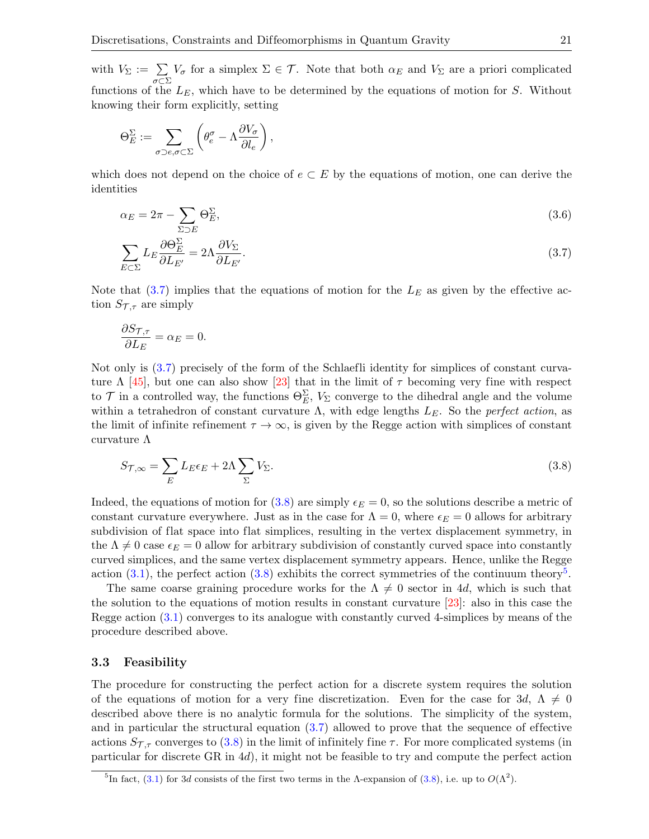with  $V_{\Sigma} := \sum$ σ⊂Σ  $V_{\sigma}$  for a simplex  $\Sigma \in \mathcal{T}$ . Note that both  $\alpha_E$  and  $V_{\Sigma}$  are a priori complicated functions of the  $L_E$ , which have to be determined by the equations of motion for S. Without knowing their form explicitly, setting

$$
\Theta_E^{\Sigma} := \sum_{\sigma \supset e, \sigma \subset \Sigma} \left( \theta_e^{\sigma} - \Lambda \frac{\partial V_{\sigma}}{\partial l_e} \right),
$$

which does not depend on the choice of  $e \subset E$  by the equations of motion, one can derive the identities

$$
\alpha_E = 2\pi - \sum_{\Sigma \supset E} \Theta_E^{\Sigma},\tag{3.6}
$$

<span id="page-21-0"></span>
$$
\sum_{E \subset \Sigma} L_E \frac{\partial \Theta_E^{\Sigma}}{\partial L_{E'}} = 2\Lambda \frac{\partial V_{\Sigma}}{\partial L_{E'}}.
$$
\n(3.7)

Note that  $(3.7)$  implies that the equations of motion for the  $L<sub>E</sub>$  as given by the effective action  $S_{\mathcal{T},\tau}$  are simply

$$
\frac{\partial S_{\mathcal{T},\tau}}{\partial L_E} = \alpha_E = 0.
$$

Not only is [\(3.7\)](#page-21-0) precisely of the form of the Schlaefli identity for simplices of constant curvature  $\Lambda$  [\[45\]](#page-28-8), but one can also show [\[23\]](#page-27-2) that in the limit of  $\tau$  becoming very fine with respect to  $\mathcal T$  in a controlled way, the functions  $\Theta_{E}^{\Sigma}$ ,  $V_{\Sigma}$  converge to the dihedral angle and the volume within a tetrahedron of constant curvature  $\Lambda$ , with edge lengths  $L<sub>E</sub>$ . So the perfect action, as the limit of infinite refinement  $\tau \to \infty$ , is given by the Regge action with simplices of constant curvature  $\Lambda$ 

<span id="page-21-1"></span>
$$
S_{\mathcal{T},\infty} = \sum_{E} L_E \epsilon_E + 2\Lambda \sum_{\Sigma} V_{\Sigma}.
$$
\n(3.8)

Indeed, the equations of motion for  $(3.8)$  are simply  $\epsilon_E = 0$ , so the solutions describe a metric of constant curvature everywhere. Just as in the case for  $\Lambda = 0$ , where  $\epsilon_E = 0$  allows for arbitrary subdivision of flat space into flat simplices, resulting in the vertex displacement symmetry, in the  $\Lambda \neq 0$  case  $\epsilon_E = 0$  allow for arbitrary subdivision of constantly curved space into constantly curved simplices, and the same vertex displacement symmetry appears. Hence, unlike the Regge action  $(3.1)$ , the perfect action  $(3.8)$  exhibits the correct symmetries of the continuum theory<sup>[5](#page-21-2)</sup>.

The same coarse graining procedure works for the  $\Lambda \neq 0$  sector in 4d, which is such that the solution to the equations of motion results in constant curvature [\[23\]](#page-27-2): also in this case the Regge action [\(3.1\)](#page-17-2) converges to its analogue with constantly curved 4-simplices by means of the procedure described above.

#### 3.3 Feasibility

The procedure for constructing the perfect action for a discrete system requires the solution of the equations of motion for a very fine discretization. Even for the case for 3d,  $\Lambda \neq 0$ described above there is no analytic formula for the solutions. The simplicity of the system, and in particular the structural equation  $(3.7)$  allowed to prove that the sequence of effective actions  $S_{\mathcal{T},\tau}$  converges to [\(3.8\)](#page-21-1) in the limit of infinitely fine  $\tau$ . For more complicated systems (in particular for discrete GR in 4d), it might not be feasible to try and compute the perfect action

<span id="page-21-2"></span><sup>&</sup>lt;sup>5</sup>In fact, [\(3.1\)](#page-17-2) for 3d consists of the first two terms in the  $\Lambda$ -expansion of [\(3.8\)](#page-21-1), i.e. up to  $O(\Lambda^2)$ .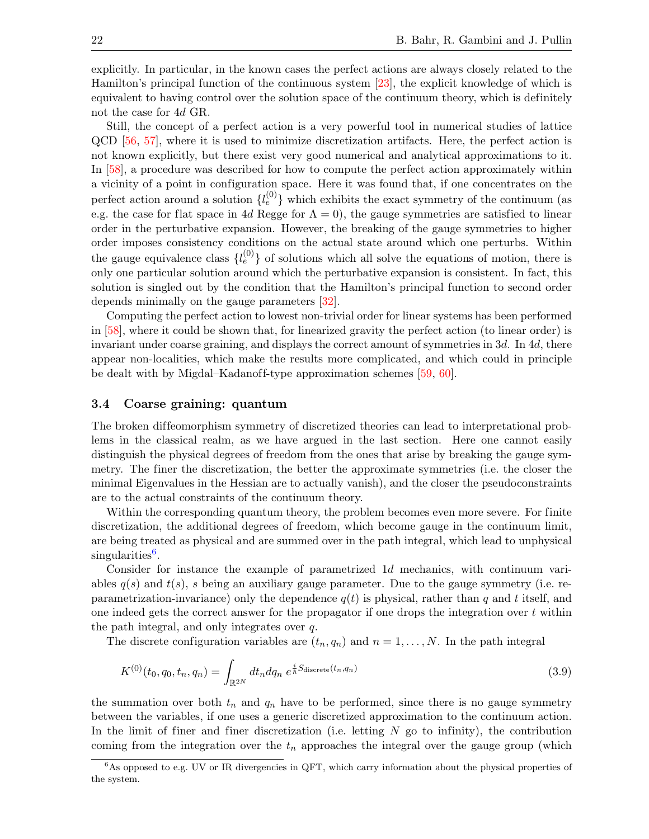explicitly. In particular, in the known cases the perfect actions are always closely related to the Hamilton's principal function of the continuous system [\[23\]](#page-27-2), the explicit knowledge of which is equivalent to having control over the solution space of the continuum theory, which is definitely not the case for 4d GR.

Still, the concept of a perfect action is a very powerful tool in numerical studies of lattice QCD [\[56,](#page-29-1) [57\]](#page-29-2), where it is used to minimize discretization artifacts. Here, the perfect action is not known explicitly, but there exist very good numerical and analytical approximations to it. In [\[58\]](#page-29-3), a procedure was described for how to compute the perfect action approximately within a vicinity of a point in configuration space. Here it was found that, if one concentrates on the perfect action around a solution  $\{l_e^{(0)}\}$  which exhibits the exact symmetry of the continuum (as e.g. the case for flat space in 4d Regge for  $\Lambda = 0$ ), the gauge symmetries are satisfied to linear order in the perturbative expansion. However, the breaking of the gauge symmetries to higher order imposes consistency conditions on the actual state around which one perturbs. Within the gauge equivalence class  $\{l_e^{(0)}\}$  of solutions which all solve the equations of motion, there is only one particular solution around which the perturbative expansion is consistent. In fact, this solution is singled out by the condition that the Hamilton's principal function to second order depends minimally on the gauge parameters [\[32\]](#page-27-11).

Computing the perfect action to lowest non-trivial order for linear systems has been performed in [\[58\]](#page-29-3), where it could be shown that, for linearized gravity the perfect action (to linear order) is invariant under coarse graining, and displays the correct amount of symmetries in 3d. In 4d, there appear non-localities, which make the results more complicated, and which could in principle be dealt with by Migdal–Kadanoff-type approximation schemes  $[59, 60]$  $[59, 60]$  $[59, 60]$ .

#### <span id="page-22-0"></span>3.4 Coarse graining: quantum

The broken diffeomorphism symmetry of discretized theories can lead to interpretational problems in the classical realm, as we have argued in the last section. Here one cannot easily distinguish the physical degrees of freedom from the ones that arise by breaking the gauge symmetry. The finer the discretization, the better the approximate symmetries (i.e. the closer the minimal Eigenvalues in the Hessian are to actually vanish), and the closer the pseudoconstraints are to the actual constraints of the continuum theory.

Within the corresponding quantum theory, the problem becomes even more severe. For finite discretization, the additional degrees of freedom, which become gauge in the continuum limit, are being treated as physical and are summed over in the path integral, which lead to unphysical singularities<sup>[6](#page-22-1)</sup>.

Consider for instance the example of parametrized 1d mechanics, with continuum variables  $q(s)$  and  $t(s)$ , s being an auxiliary gauge parameter. Due to the gauge symmetry (i.e. reparametrization-invariance) only the dependence  $q(t)$  is physical, rather than q and t itself, and one indeed gets the correct answer for the propagator if one drops the integration over  $t$  within the path integral, and only integrates over q.

The discrete configuration variables are  $(t_n, q_n)$  and  $n = 1, \ldots, N$ . In the path integral

<span id="page-22-2"></span>
$$
K^{(0)}(t_0, q_0, t_n, q_n) = \int_{\mathbb{R}^{2N}} dt_n dq_n \ e^{\frac{i}{\hbar} S_{\text{discrete}}(t_n, q_n)} \tag{3.9}
$$

the summation over both  $t_n$  and  $q_n$  have to be performed, since there is no gauge symmetry between the variables, if one uses a generic discretized approximation to the continuum action. In the limit of finer and finer discretization (i.e. letting  $N$  go to infinity), the contribution coming from the integration over the  $t_n$  approaches the integral over the gauge group (which

<span id="page-22-1"></span> $6$ As opposed to e.g. UV or IR divergencies in QFT, which carry information about the physical properties of the system.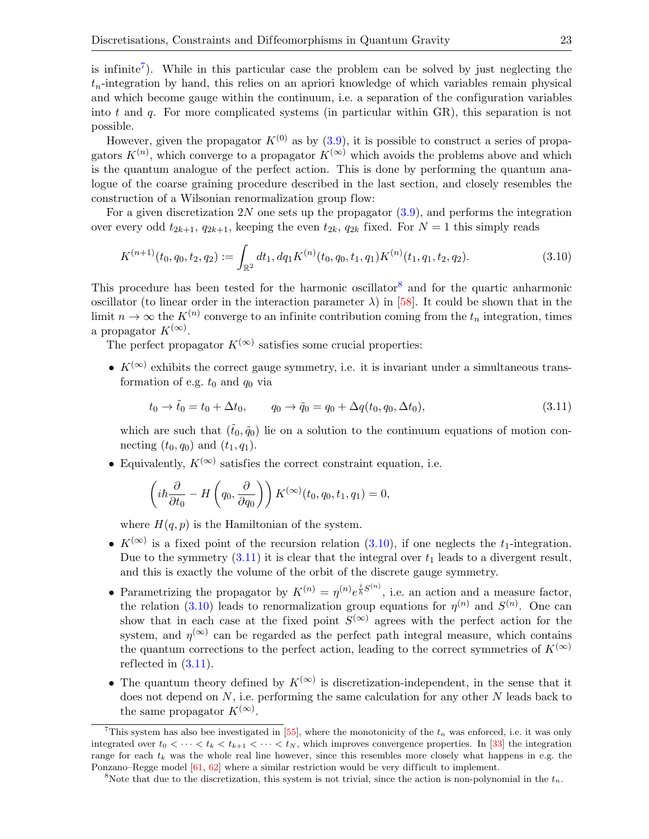is infinite<sup>[7](#page-23-0)</sup>). While in this particular case the problem can be solved by just neglecting the  $t_n$ -integration by hand, this relies on an apriori knowledge of which variables remain physical and which become gauge within the continuum, i.e. a separation of the configuration variables into t and q. For more complicated systems (in particular within  $GR$ ), this separation is not possible.

However, given the propagator  $K^{(0)}$  as by  $(3.9)$ , it is possible to construct a series of propagators  $K^{(n)}$ , which converge to a propagator  $K^{(\infty)}$  which avoids the problems above and which is the quantum analogue of the perfect action. This is done by performing the quantum analogue of the coarse graining procedure described in the last section, and closely resembles the construction of a Wilsonian renormalization group flow:

For a given discretization 2N one sets up the propagator  $(3.9)$ , and performs the integration over every odd  $t_{2k+1}$ ,  $q_{2k+1}$ , keeping the even  $t_{2k}$ ,  $q_{2k}$  fixed. For  $N = 1$  this simply reads

<span id="page-23-2"></span>
$$
K^{(n+1)}(t_0, q_0, t_2, q_2) := \int_{\mathbb{R}^2} dt_1, dq_1 K^{(n)}(t_0, q_0, t_1, q_1) K^{(n)}(t_1, q_1, t_2, q_2).
$$
 (3.10)

This procedure has been tested for the harmonic oscillator<sup>[8](#page-23-1)</sup> and for the quartic anharmonic oscillator (to linear order in the interaction parameter  $\lambda$ ) in [\[58\]](#page-29-3). It could be shown that in the limit  $n \to \infty$  the  $K^{(n)}$  converge to an infinite contribution coming from the  $t_n$  integration, times a propagator  $K^{(\infty)}$ .

The perfect propagator  $K^{(\infty)}$  satisfies some crucial properties:

•  $K^{(\infty)}$  exhibits the correct gauge symmetry, i.e. it is invariant under a simultaneous transformation of e.g.  $t_0$  and  $q_0$  via

<span id="page-23-3"></span>
$$
t_0 \to \tilde{t}_0 = t_0 + \Delta t_0, \qquad q_0 \to \tilde{q}_0 = q_0 + \Delta q(t_0, q_0, \Delta t_0), \tag{3.11}
$$

which are such that  $(\tilde{t}_0, \tilde{q}_0)$  lie on a solution to the continuum equations of motion connecting  $(t_0, q_0)$  and  $(t_1, q_1)$ .

• Equivalently,  $K^{(\infty)}$  satisfies the correct constraint equation, i.e.

$$
\left(i\hbar\frac{\partial}{\partial t_0} - H\left(q_0, \frac{\partial}{\partial q_0}\right)\right) K^{(\infty)}(t_0, q_0, t_1, q_1) = 0,
$$

where  $H(q, p)$  is the Hamiltonian of the system.

- $K^{(\infty)}$  is a fixed point of the recursion relation [\(3.10\)](#page-23-2), if one neglects the  $t_1$ -integration. Due to the symmetry  $(3.11)$  it is clear that the integral over  $t_1$  leads to a divergent result, and this is exactly the volume of the orbit of the discrete gauge symmetry.
- Parametrizing the propagator by  $K^{(n)} = \eta^{(n)} e^{\frac{i}{\hbar}S^{(n)}}$ , i.e. an action and a measure factor, the relation [\(3.10\)](#page-23-2) leads to renormalization group equations for  $\eta^{(n)}$  and  $S^{(n)}$ . One can show that in each case at the fixed point  $S^{(\infty)}$  agrees with the perfect action for the system, and  $\eta^{(\infty)}$  can be regarded as the perfect path integral measure, which contains the quantum corrections to the perfect action, leading to the correct symmetries of  $K^{(\infty)}$ reflected in [\(3.11\)](#page-23-3).
- The quantum theory defined by  $K^{(\infty)}$  is discretization-independent, in the sense that it does not depend on  $N$ , i.e. performing the same calculation for any other  $N$  leads back to the same propagator  $K^{(\infty)}$ .

<span id="page-23-0"></span><sup>&</sup>lt;sup>7</sup>This system has also bee investigated in [\[55\]](#page-29-0), where the monotonicity of the  $t_n$  was enforced, i.e. it was only integrated over  $t_0 < \cdots < t_k < t_{k+1} < \cdots < t_N$ , which improves convergence properties. In [\[33\]](#page-27-12) the integration range for each  $t_k$  was the whole real line however, since this resembles more closely what happens in e.g. the Ponzano–Regge model [\[61,](#page-29-6) [62\]](#page-29-7) where a similar restriction would be very difficult to implement.

<span id="page-23-1"></span><sup>&</sup>lt;sup>8</sup>Note that due to the discretization, this system is not trivial, since the action is non-polynomial in the  $t_n$ .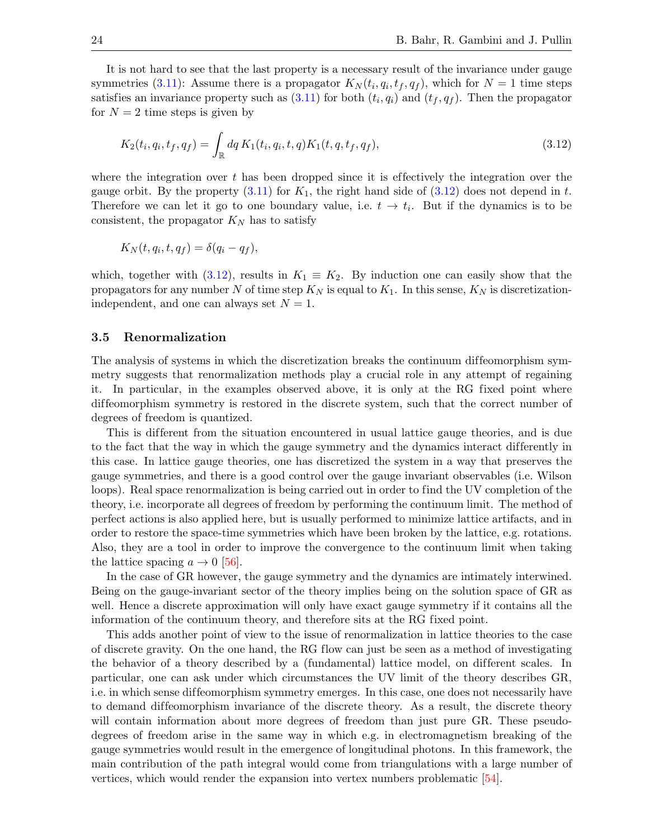It is not hard to see that the last property is a necessary result of the invariance under gauge symmetries [\(3.11\)](#page-23-3): Assume there is a propagator  $K_N(t_i, q_i, t_f, q_f)$ , which for  $N = 1$  time steps satisfies an invariance property such as  $(3.11)$  for both  $(t_i, q_i)$  and  $(t_f, q_f)$ . Then the propagator for  $N = 2$  time steps is given by

<span id="page-24-0"></span>
$$
K_2(t_i, q_i, t_f, q_f) = \int_{\mathbb{R}} dq K_1(t_i, q_i, t, q) K_1(t, q, t_f, q_f),
$$
\n(3.12)

where the integration over  $t$  has been dropped since it is effectively the integration over the gauge orbit. By the property  $(3.11)$  for  $K_1$ , the right hand side of  $(3.12)$  does not depend in t. Therefore we can let it go to one boundary value, i.e.  $t \to t_i$ . But if the dynamics is to be consistent, the propagator  $K_N$  has to satisfy

$$
K_N(t, q_i, t, q_f) = \delta(q_i - q_f),
$$

which, together with [\(3.12\)](#page-24-0), results in  $K_1 \equiv K_2$ . By induction one can easily show that the propagators for any number N of time step  $K_N$  is equal to  $K_1$ . In this sense,  $K_N$  is discretizationindependent, and one can always set  $N = 1$ .

#### 3.5 Renormalization

The analysis of systems in which the discretization breaks the continuum diffeomorphism symmetry suggests that renormalization methods play a crucial role in any attempt of regaining it. In particular, in the examples observed above, it is only at the RG fixed point where dif feomorphism symmetry is restored in the discrete system, such that the correct number of degrees of freedom is quantized.

This is different from the situation encountered in usual lattice gauge theories, and is due to the fact that the way in which the gauge symmetry and the dynamics interact differently in this case. In lattice gauge theories, one has discretized the system in a way that preserves the gauge symmetries, and there is a good control over the gauge invariant observables (i.e. Wilson loops). Real space renormalization is being carried out in order to find the UV completion of the theory, i.e. incorporate all degrees of freedom by performing the continuum limit. The method of perfect actions is also applied here, but is usually performed to minimize lattice artifacts, and in order to restore the space-time symmetries which have been broken by the lattice, e.g. rotations. Also, they are a tool in order to improve the convergence to the continuum limit when taking the lattice spacing  $a \to 0$  [\[56\]](#page-29-1).

In the case of GR however, the gauge symmetry and the dynamics are intimately interwined. Being on the gauge-invariant sector of the theory implies being on the solution space of GR as well. Hence a discrete approximation will only have exact gauge symmetry if it contains all the information of the continuum theory, and therefore sits at the RG fixed point.

This adds another point of view to the issue of renormalization in lattice theories to the case of discrete gravity. On the one hand, the RG flow can just be seen as a method of investigating the behavior of a theory described by a (fundamental) lattice model, on different scales. In particular, one can ask under which circumstances the UV limit of the theory describes GR, i.e. in which sense diffeomorphism symmetry emerges. In this case, one does not necessarily have to demand diffeomorphism invariance of the discrete theory. As a result, the discrete theory will contain information about more degrees of freedom than just pure GR. These pseudodegrees of freedom arise in the same way in which e.g. in electromagnetism breaking of the gauge symmetries would result in the emergence of longitudinal photons. In this framework, the main contribution of the path integral would come from triangulations with a large number of vertices, which would render the expansion into vertex numbers problematic [\[54\]](#page-28-13).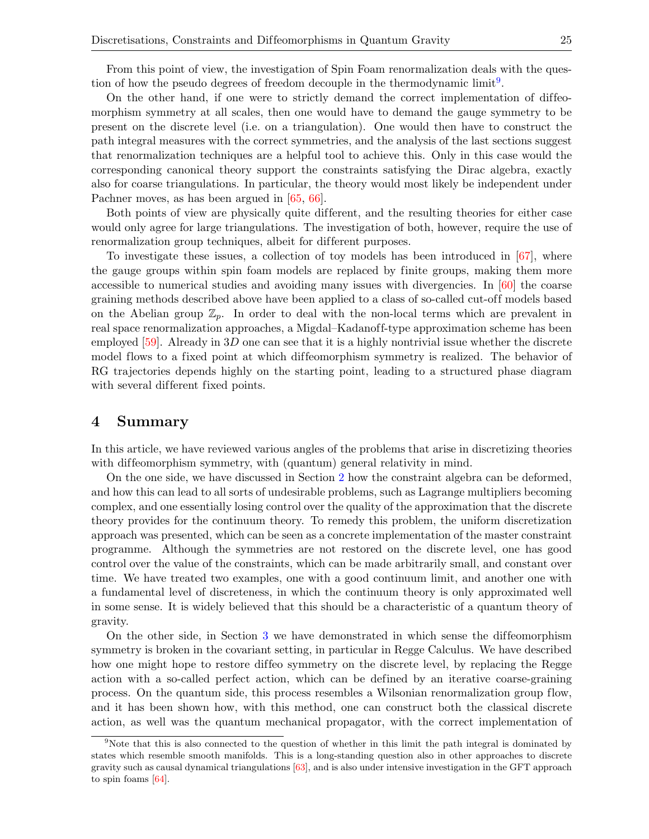From this point of view, the investigation of Spin Foam renormalization deals with the question of how the pseudo degrees of freedom decouple in the thermodynamic  $\text{limit}^{9}$  $\text{limit}^{9}$  $\text{limit}^{9}$ .

On the other hand, if one were to strictly demand the correct implementation of diffeomorphism symmetry at all scales, then one would have to demand the gauge symmetry to be present on the discrete level (i.e. on a triangulation). One would then have to construct the path integral measures with the correct symmetries, and the analysis of the last sections suggest that renormalization techniques are a helpful tool to achieve this. Only in this case would the corresponding canonical theory support the constraints satisfying the Dirac algebra, exactly also for coarse triangulations. In particular, the theory would most likely be independent under Pachner moves, as has been argued in [\[65,](#page-29-8) [66\]](#page-29-9).

Both points of view are physically quite dif ferent, and the resulting theories for either case would only agree for large triangulations. The investigation of both, however, require the use of renormalization group techniques, albeit for different purposes.

To investigate these issues, a collection of toy models has been introduced in [\[67\]](#page-29-10), where the gauge groups within spin foam models are replaced by finite groups, making them more accessible to numerical studies and avoiding many issues with divergencies. In [\[60\]](#page-29-5) the coarse graining methods described above have been applied to a class of so-called cut-of f models based on the Abelian group  $\mathbb{Z}_p$ . In order to deal with the non-local terms which are prevalent in real space renormalization approaches, a Migdal–Kadanoff-type approximation scheme has been employed  $[59]$ . Already in 3D one can see that it is a highly nontrivial issue whether the discrete model flows to a fixed point at which diffeomorphism symmetry is realized. The behavior of RG trajectories depends highly on the starting point, leading to a structured phase diagram with several different fixed points.

### 4 Summary

In this article, we have reviewed various angles of the problems that arise in discretizing theories with diffeomorphism symmetry, with (quantum) general relativity in mind.

On the one side, we have discussed in Section [2](#page-4-0) how the constraint algebra can be deformed, and how this can lead to all sorts of undesirable problems, such as Lagrange multipliers becoming complex, and one essentially losing control over the quality of the approximation that the discrete theory provides for the continuum theory. To remedy this problem, the uniform discretization approach was presented, which can be seen as a concrete implementation of the master constraint programme. Although the symmetries are not restored on the discrete level, one has good control over the value of the constraints, which can be made arbitrarily small, and constant over time. We have treated two examples, one with a good continuum limit, and another one with a fundamental level of discreteness, in which the continuum theory is only approximated well in some sense. It is widely believed that this should be a characteristic of a quantum theory of gravity.

On the other side, in Section [3](#page-17-0) we have demonstrated in which sense the diffeomorphism symmetry is broken in the covariant setting, in particular in Regge Calculus. We have described how one might hope to restore diffeo symmetry on the discrete level, by replacing the Regge action with a so-called perfect action, which can be defined by an iterative coarse-graining process. On the quantum side, this process resembles a Wilsonian renormalization group flow, and it has been shown how, with this method, one can construct both the classical discrete action, as well was the quantum mechanical propagator, with the correct implementation of

<span id="page-25-0"></span><sup>&</sup>lt;sup>9</sup>Note that this is also connected to the question of whether in this limit the path integral is dominated by states which resemble smooth manifolds. This is a long-standing question also in other approaches to discrete gravity such as causal dynamical triangulations [\[63\]](#page-29-11), and is also under intensive investigation in the GFT approach to spin foams [\[64\]](#page-29-12).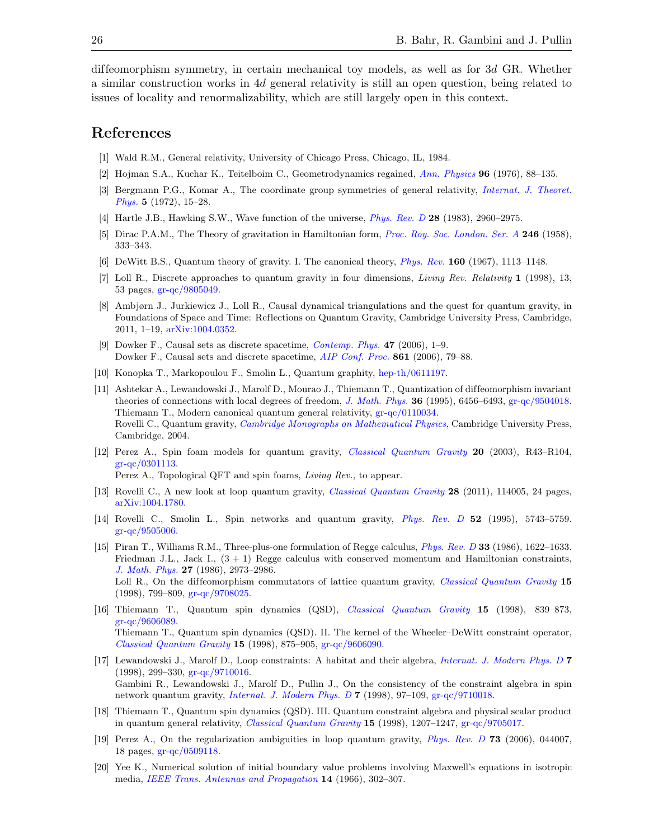dif feomorphism symmetry, in certain mechanical toy models, as well as for 3d GR. Whether a similar construction works in 4d general relativity is still an open question, being related to issues of locality and renormalizability, which are still largely open in this context.

## References

- <span id="page-26-0"></span>[1] Wald R.M., General relativity, University of Chicago Press, Chicago, IL, 1984.
- <span id="page-26-1"></span>[2] Hojman S.A., Kuchar K., Teitelboim C., Geometrodynamics regained, [Ann. Physics](http://dx.doi.org/10.1016/0003-4916(76)90112-3) 96 (1976), 88–135.
- <span id="page-26-2"></span>[3] Bergmann P.G., Komar A., The coordinate group symmetries of general relativity, [Internat. J. Theoret.](http://dx.doi.org/10.1007/BF00671650) [Phys.](http://dx.doi.org/10.1007/BF00671650) 5 (1972), 15–28.
- <span id="page-26-14"></span>[4] Hartle J.B., Hawking S.W., Wave function of the universe, *[Phys. Rev. D](http://dx.doi.org/10.1103/PhysRevD.28.2960)* 28 (1983), 2960–2975.
- <span id="page-26-3"></span>[5] Dirac P.A.M., The Theory of gravitation in Hamiltonian form, *[Proc. Roy. Soc. London. Ser. A](http://dx.doi.org/10.1098/rspa.1958.0142)* 246 (1958), 333–343.
- <span id="page-26-4"></span>[6] DeWitt B.S., Quantum theory of gravity. I. The canonical theory, [Phys. Rev.](http://dx.doi.org/10.1103/PhysRev.160.1113) 160 (1967), 1113–1148.
- <span id="page-26-15"></span>[7] Loll R., Discrete approaches to quantum gravity in four dimensions, Living Rev. Relativity 1 (1998), 13, 53 pages, [gr-qc/9805049.](http://arxiv.org/abs/gr-qc/9805049)
- <span id="page-26-16"></span>[8] Ambjørn J., Jurkiewicz J., Loll R., Causal dynamical triangulations and the quest for quantum gravity, in Foundations of Space and Time: Reflections on Quantum Gravity, Cambridge University Press, Cambridge, 2011, 1–19, [arXiv:1004.0352.](http://arxiv.org/abs/1004.0352)
- <span id="page-26-17"></span>[9] Dowker F., Causal sets as discrete spacetime, [Contemp. Phys.](http://dx.doi.org/10.1080/17445760500356833) 47 (2006), 1–9. Dowker F., Causal sets and discrete spacetime, [AIP Conf. Proc.](http://dx.doi.org/10.1063/1.2399569) 861 (2006), 79–88.
- <span id="page-26-18"></span>[10] Konopka T., Markopoulou F., Smolin L., Quantum graphity, [hep-th/0611197.](http://arxiv.org/abs/hep-th/0611197)
- <span id="page-26-5"></span>[11] Ashtekar A., Lewandowski J., Marolf D., Mourao J., Thiemann T., Quantization of diffeomorphism invariant theories of connections with local degrees of freedom, [J. Math. Phys.](http://dx.doi.org/10.1063/1.531252) 36 (1995), 6456–6493, [gr-qc/9504018.](http://arxiv.org/abs/gr-qc/9504018) Thiemann T., Modern canonical quantum general relativity, [gr-qc/0110034.](http://arxiv.org/abs/gr-qc/0110034) Rovelli C., Quantum gravity, [Cambridge Monographs on Mathematical Physics](http://dx.doi.org/10.1017/CBO9780511755804), Cambridge University Press, Cambridge, 2004.
- <span id="page-26-6"></span>[12] Perez A., Spin foam models for quantum gravity, [Classical Quantum Gravity](http://dx.doi.org/10.1088/0264-9381/20/6/202) 20 (2003), R43–R104,  $gr-qc/0301113$ .

Perez A., Topological QFT and spin foams, Living Rev., to appear.

- <span id="page-26-7"></span>[13] Rovelli C., A new look at loop quantum gravity, [Classical Quantum Gravity](http://dx.doi.org/10.1088/0264-9381/28/11/114005) 28 (2011), 114005, 24 pages, [arXiv:1004.1780.](http://arxiv.org/abs/1004.1780)
- <span id="page-26-8"></span>[14] Rovelli C., Smolin L., Spin networks and quantum gravity, [Phys. Rev. D](http://dx.doi.org/10.1103/PhysRevD.52.5743) 52 (1995), 5743–5759. [gr-qc/9505006.](http://arxiv.org/abs/gr-qc/9505006)
- <span id="page-26-9"></span>[15] Piran T., Williams R.M., Three-plus-one formulation of Regge calculus, [Phys. Rev. D](http://dx.doi.org/10.1103/PhysRevD.33.1622) 33 (1986), 1622–1633. Friedman J.L., Jack I.,  $(3 + 1)$  Regge calculus with conserved momentum and Hamiltonian constraints, [J. Math. Phys.](http://dx.doi.org/10.1063/1.527224) 27 (1986), 2973–2986. Loll R., On the diffeomorphism commutators of lattice quantum gravity, *[Classical Quantum Gravity](http://dx.doi.org/10.1088/0264-9381/15/4/008)* 15 (1998), 799–809, [gr-qc/9708025.](http://arxiv.org/abs/gr-qc/9708025)
- <span id="page-26-10"></span>[16] Thiemann T., Quantum spin dynamics (QSD), [Classical Quantum Gravity](http://dx.doi.org/10.1088/0264-9381/15/4/011) 15 (1998), 839–873, [gr-qc/9606089.](http://arxiv.org/abs/gr-qc/9606089) Thiemann T., Quantum spin dynamics (QSD). II. The kernel of the Wheeler–DeWitt constraint operator, [Classical Quantum Gravity](http://dx.doi.org/10.1088/0264-9381/15/4/012) 15 (1998), 875–905, [gr-qc/9606090.](http://arxiv.org/abs/gr-qc/9606090)
- <span id="page-26-11"></span>[17] Lewandowski J., Marolf D., Loop constraints: A habitat and their algebra, [Internat. J. Modern Phys. D](http://dx.doi.org/10.1142/S0218271898000231) 7 (1998), 299–330, [gr-qc/9710016.](http://arxiv.org/abs/gr-qc/9710016) Gambini R., Lewandowski J., Marolf D., Pullin J., On the consistency of the constraint algebra in spin network quantum gravity, [Internat. J. Modern Phys. D](http://dx.doi.org/10.1142/S0218271898000103) 7 (1998), 97–109, [gr-qc/9710018.](http://arxiv.org/abs/gr-qc/9710018)
- <span id="page-26-12"></span>[18] Thiemann T., Quantum spin dynamics (QSD). III. Quantum constraint algebra and physical scalar product in quantum general relativity, [Classical Quantum Gravity](http://dx.doi.org/10.1088/0264-9381/15/5/010) 15 (1998), 1207–1247, [gr-qc/9705017.](http://arxiv.org/abs/gr-qc/9705017)
- <span id="page-26-13"></span>[19] Perez A., On the regularization ambiguities in loop quantum gravity, [Phys. Rev. D](http://dx.doi.org/10.1103/PhysRevD.73.044007) 73 (2006), 044007, 18 pages, [gr-qc/0509118.](http://arxiv.org/abs/gr-qc/0509118)
- <span id="page-26-19"></span>[20] Yee K., Numerical solution of initial boundary value problems involving Maxwell's equations in isotropic media, [IEEE Trans. Antennas and Propagation](http://dx.doi.org/10.1109/TAP.1966.1138693) 14 (1966), 302–307.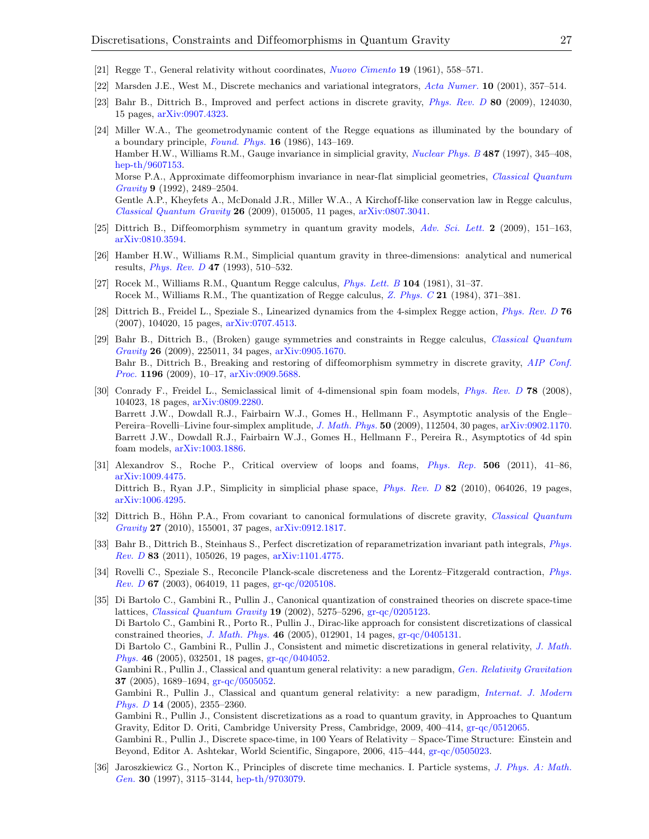- <span id="page-27-0"></span>[21] Regge T., General relativity without coordinates, [Nuovo Cimento](http://dx.doi.org/10.1007/BF02733251) 19 (1961), 558–571.
- <span id="page-27-1"></span>[22] Marsden J.E., West M., Discrete mechanics and variational integrators, [Acta Numer.](http://dx.doi.org/10.1017/S096249290100006X) 10 (2001), 357–514.
- <span id="page-27-2"></span>[23] Bahr B., Dittrich B., Improved and perfect actions in discrete gravity, [Phys. Rev. D](http://dx.doi.org/10.1103/PhysRevD.80.124030) 80 (2009), 124030, 15 pages, [arXiv:0907.4323.](http://arxiv.org/abs/0907.4323)
- <span id="page-27-3"></span>[24] Miller W.A., The geometrodynamic content of the Regge equations as illuminated by the boundary of a boundary principle, [Found. Phys.](http://dx.doi.org/10.1007/BF01889378)  $16$  (1986), 143–169. Hamber H.W., Williams R.M., Gauge invariance in simplicial gravity, [Nuclear Phys. B](http://dx.doi.org/10.1016/S0550-3213(97)87467-6) 487 (1997), 345–408, [hep-th/9607153.](http://arxiv.org/abs/hep-th/9607153) Morse P.A., Approximate diffeomorphism invariance in near-flat simplicial geometries, *[Classical Quantum](http://stacks.iop.org/0264-9381/9/2489)* [Gravity](http://stacks.iop.org/0264-9381/9/2489) 9 (1992), 2489–2504. Gentle A.P., Kheyfets A., McDonald J.R., Miller W.A., A Kirchoff-like conservation law in Regge calculus, [Classical Quantum Gravity](http://dx.doi.org/10.1088/0264-9381/26/1/015005) 26 (2009), 015005, 11 pages, [arXiv:0807.3041.](http://arxiv.org/abs/0807.3041)
- <span id="page-27-4"></span>[25] Dittrich B., Diffeomorphism symmetry in quantum gravity models, [Adv. Sci. Lett.](http://dx.doi.org/10.1166/asl.2009.1022) 2 (2009), 151–163, [arXiv:0810.3594.](http://arxiv.org/abs/0810.3594)
- <span id="page-27-5"></span>[26] Hamber H.W., Williams R.M., Simplicial quantum gravity in three-dimensions: analytical and numerical results, [Phys. Rev. D](http://dx.doi.org/10.1103/PhysRevD.47.510) 47 (1993), 510–532.
- <span id="page-27-6"></span>[27] Rocek M., Williams R.M., Quantum Regge calculus,  $Phys. Let. B$  104 (1981), 31–37. Rocek M., Williams R.M., The quantization of Regge calculus, [Z. Phys. C](http://dx.doi.org/10.1007/BF01581603) 21 (1984), 371–381.
- <span id="page-27-7"></span>[28] Dittrich B., Freidel L., Speziale S., Linearized dynamics from the 4-simplex Regge action, [Phys. Rev. D](http://dx.doi.org/10.1103/PhysRevD.76.104020) 76 (2007), 104020, 15 pages, [arXiv:0707.4513.](http://arxiv.org/abs/0707.4513)
- <span id="page-27-8"></span>[29] Bahr B., Dittrich B., (Broken) gauge symmetries and constraints in Regge calculus, [Classical Quantum](http://dx.doi.org/10.1088/0264-9381/26/22/225011) [Gravity](http://dx.doi.org/10.1088/0264-9381/26/22/225011) 26 (2009), 225011, 34 pages, [arXiv:0905.1670.](http://arxiv.org/abs/0905.1670) Bahr B., Dittrich B., Breaking and restoring of diffeomorphism symmetry in discrete gravity, [AIP Conf.](http://dx.doi.org/10.1063/1.3284371) [Proc.](http://dx.doi.org/10.1063/1.3284371) 1196 (2009), 10–17, [arXiv:0909.5688.](http://arxiv.org/abs/0909.5688)
- <span id="page-27-9"></span>[30] Conrady F., Freidel L., Semiclassical limit of 4-dimensional spin foam models, [Phys. Rev. D](http://dx.doi.org/10.1103/PhysRevD.78.104023) 78 (2008), 104023, 18 pages, [arXiv:0809.2280.](http://arxiv.org/abs/0809.2280) Barrett J.W., Dowdall R.J., Fairbairn W.J., Gomes H., Hellmann F., Asymptotic analysis of the Engle– Pereira–Rovelli–Livine four-simplex amplitude, [J. Math. Phys.](http://dx.doi.org/10.1063/1.3244218) 50 (2009), 112504, 30 pages, [arXiv:0902.1170.](http://arxiv.org/abs/0902.1170) Barrett J.W., Dowdall R.J., Fairbairn W.J., Gomes H., Hellmann F., Pereira R., Asymptotics of 4d spin foam models, [arXiv:1003.1886.](http://arxiv.org/abs/1003.1886)
- <span id="page-27-10"></span>[31] Alexandrov S., Roche P., Critical overview of loops and foams, [Phys. Rep.](http://dx.doi.org/10.1016/j.physrep.2011.05.002) 506 (2011), 41–86, [arXiv:1009.4475.](http://arxiv.org/abs/1009.4475) Dittrich B., Ryan J.P., Simplicity in simplicial phase space, *[Phys. Rev. D](http://dx.doi.org/10.1103/PhysRevD.82.064026)* 82 (2010), 064026, 19 pages, [arXiv:1006.4295.](http://arxiv.org/abs/1006.4295)
- <span id="page-27-11"></span>[32] Dittrich B., Höhn P.A., From covariant to canonical formulations of discrete gravity, [Classical Quantum](http://dx.doi.org/10.1088/0264-9381/27/15/155001) [Gravity](http://dx.doi.org/10.1088/0264-9381/27/15/155001) 27 (2010), 155001, 37 pages, [arXiv:0912.1817.](http://arxiv.org/abs/0912.1817)
- <span id="page-27-12"></span>[33] Bahr B., Dittrich B., Steinhaus S., Perfect discretization of reparametrization invariant path integrals, [Phys.](http://dx.doi.org/10.1103/PhysRevD.83.105026) [Rev. D](http://dx.doi.org/10.1103/PhysRevD.83.105026) 83 (2011), 105026, 19 pages, [arXiv:1101.4775.](http://arxiv.org/abs/1101.4775)
- <span id="page-27-13"></span>[34] Rovelli C., Speziale S., Reconcile Planck-scale discreteness and the Lorentz–Fitzgerald contraction, [Phys.](http://dx.doi.org/10.1103/PhysRevD.67.064019) [Rev. D](http://dx.doi.org/10.1103/PhysRevD.67.064019) 67 (2003), 064019, 11 pages,  $gr-qc/0205108$ .
- <span id="page-27-14"></span>[35] Di Bartolo C., Gambini R., Pullin J., Canonical quantization of constrained theories on discrete space-time lattices, [Classical Quantum Gravity](http://dx.doi.org/10.1088/0264-9381/19/21/301) 19 (2002), 5275–5296, [gr-qc/0205123.](http://arxiv.org/abs/gr-qc/0205123) Di Bartolo C., Gambini R., Porto R., Pullin J., Dirac-like approach for consistent discretizations of classical constrained theories, [J. Math. Phys.](http://dx.doi.org/10.1063/1.1823030) 46 (2005), 012901, 14 pages, [gr-qc/0405131.](http://arxiv.org/abs/gr-qc/0405131) Di Bartolo C., Gambini R., Pullin J., Consistent and mimetic discretizations in general relativity, [J. Math.](http://dx.doi.org/10.1063/1.1841483) [Phys.](http://dx.doi.org/10.1063/1.1841483) 46 (2005), 032501, 18 pages, [gr-qc/0404052.](http://arxiv.org/abs/gr-qc/0404052) Gambini R., Pullin J., Classical and quantum general relativity: a new paradigm, [Gen. Relativity Gravitation](http://dx.doi.org/10.1007/s10714-005-0151-7) 37 (2005), 1689–1694, [gr-qc/0505052.](http://arxiv.org/abs/gr-qc/0505052) Gambini R., Pullin J., Classical and quantum general relativity: a new paradigm, [Internat. J. Modern](http://dx.doi.org/10.1142/S0218271805007917) [Phys. D](http://dx.doi.org/10.1142/S0218271805007917) 14 (2005), 2355–2360. Gambini R., Pullin J., Consistent discretizations as a road to quantum gravity, in Approaches to Quantum Gravity, Editor D. Oriti, Cambridge University Press, Cambridge, 2009, 400–414, [gr-qc/0512065.](http://arxiv.org/abs/gr-qc/0512065) Gambini R., Pullin J., Discrete space-time, in 100 Years of Relativity – Space-Time Structure: Einstein and Beyond, Editor A. Ashtekar, World Scientific, Singapore, 2006, 415–444, [gr-qc/0505023.](http://arxiv.org/abs/gr-qc/0505023)
- <span id="page-27-15"></span>[36] Jaroszkiewicz G., Norton K., Principles of discrete time mechanics. I. Particle systems, [J. Phys. A: Math.](http://dx.doi.org/10.1088/0305-4470/30/9/022) [Gen.](http://dx.doi.org/10.1088/0305-4470/30/9/022) 30 (1997), 3115–3144, [hep-th/9703079.](http://arxiv.org/abs/hep-th/9703079)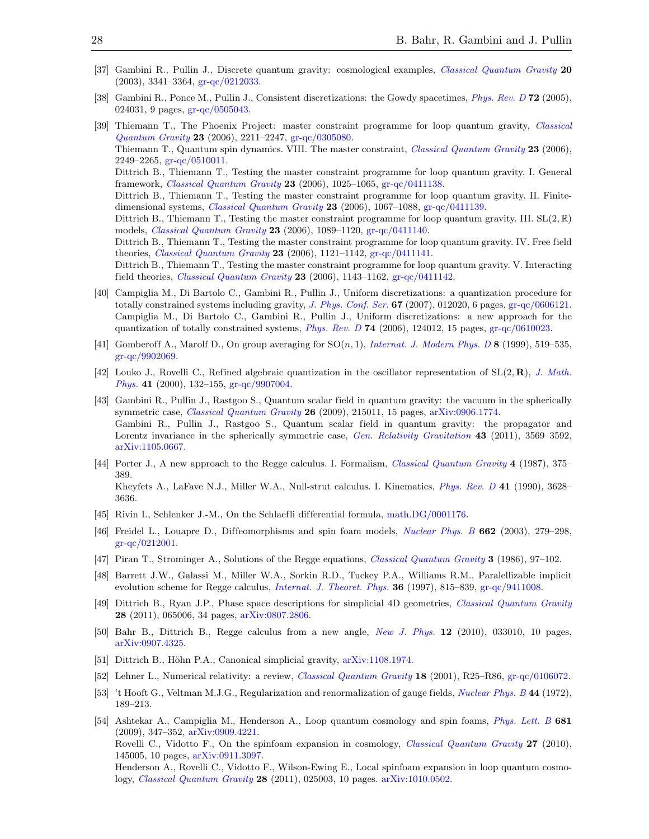- <span id="page-28-0"></span>[37] Gambini R., Pullin J., Discrete quantum gravity: cosmological examples, [Classical Quantum Gravity](http://dx.doi.org/10.1088/0264-9381/20/15/305) 20 (2003), 3341–3364, [gr-qc/0212033.](http://arxiv.org/abs/gr-qc/0212033)
- <span id="page-28-1"></span>[38] Gambini R., Ponce M., Pullin J., Consistent discretizations: the Gowdy spacetimes, [Phys. Rev. D](http://dx.doi.org/10.1103/PhysRevD.72.024031) 72 (2005), 024031, 9 pages, [gr-qc/0505043.](http://arxiv.org/abs/gr-qc/0505043)
- <span id="page-28-2"></span>[39] Thiemann T., The Phoenix Project: master constraint programme for loop quantum gravity, [Classical](http://dx.doi.org/10.1088/0264-9381/23/7/002) [Quantum Gravity](http://dx.doi.org/10.1088/0264-9381/23/7/002) 23 (2006), 2211–2247, [gr-qc/0305080.](http://arxiv.org/abs/gr-qc/0305080) Thiemann T., Quantum spin dynamics. VIII. The master constraint, *[Classical Quantum Gravity](http://dx.doi.org/10.1088/0264-9381/23/7/003)* 23 (2006),  $2249 - 2265$ , [gr-qc/0510011.](http://arxiv.org/abs/gr-qc/0510011) Dittrich B., Thiemann T., Testing the master constraint programme for loop quantum gravity. I. General framework, [Classical Quantum Gravity](http://dx.doi.org/10.1088/0264-9381/23/4/001) 23 (2006), 1025–1065, [gr-qc/0411138.](http://arxiv.org/abs/gr-qc/0411138) Dittrich B., Thiemann T., Testing the master constraint programme for loop quantum gravity. II. Finitedimensional systems, [Classical Quantum Gravity](http://dx.doi.org/10.1088/0264-9381/23/4/002) 23 (2006), 1067–1088, [gr-qc/0411139.](http://arxiv.org/abs/gr-qc/0411139) Dittrich B., Thiemann T., Testing the master constraint programme for loop quantum gravity. III.  $SL(2,\mathbb{R})$ models, [Classical Quantum Gravity](http://dx.doi.org/10.1088/0264-9381/23/4/003) 23 (2006), 1089–1120, [gr-qc/0411140.](http://arxiv.org/abs/gr-qc/0411140) Dittrich B., Thiemann T., Testing the master constraint programme for loop quantum gravity. IV. Free field theories, *[Classical Quantum Gravity](http://dx.doi.org/10.1088/0264-9381/23/4/004)* 23 (2006),  $1121-1142$ ,  $gr-qc/0411141$ . Dittrich B., Thiemann T., Testing the master constraint programme for loop quantum gravity. V. Interacting field theories, *[Classical Quantum Gravity](http://dx.doi.org/10.1088/0264-9381/23/4/005)* 23 (2006), 1143-1162,  $gr-qc/0411142$ .
- <span id="page-28-3"></span>[40] Campiglia M., Di Bartolo C., Gambini R., Pullin J., Uniform discretizations: a quantization procedure for totally constrained systems including gravity, *[J. Phys. Conf. Ser.](http://dx.doi.org/10.1088/1742-6596/67/1/012020)* 67 (2007), 012020, 6 pages, [gr-qc/0606121.](http://arxiv.org/abs/gr-qc/0606121) Campiglia M., Di Bartolo C., Gambini R., Pullin J., Uniform discretizations: a new approach for the quantization of totally constrained systems, [Phys. Rev. D](http://dx.doi.org/10.1103/PhysRevD.74.124012) 74 (2006), 124012, 15 pages, [gr-qc/0610023.](http://arxiv.org/abs/gr-qc/0610023)
- <span id="page-28-4"></span>[41] Gomberoff A., Marolf D., On group averaging for  $SO(n,1)$ , [Internat. J. Modern Phys. D](http://dx.doi.org/10.1142/S0218271899000365) 8 (1999), 519–535, [gr-qc/9902069.](http://arxiv.org/abs/gr-qc/9902069)
- <span id="page-28-5"></span>[42] Louko J., Rovelli C., Refined algebraic quantization in the oscillator representation of  $SL(2, \mathbf{R})$ , [J. Math.](http://dx.doi.org/10.1063/1.533126) [Phys.](http://dx.doi.org/10.1063/1.533126) 41 (2000), 132–155, [gr-qc/9907004.](http://arxiv.org/abs/gr-qc/9907004)
- <span id="page-28-6"></span>[43] Gambini R., Pullin J., Rastgoo S., Quantum scalar field in quantum gravity: the vacuum in the spherically symmetric case, *[Classical Quantum Gravity](http://dx.doi.org/10.1088/0264-9381/26/21/215011)* 26 (2009), 215011, 15 pages, [arXiv:0906.1774.](http://arxiv.org/abs/0906.1774) Gambini R., Pullin J., Rastgoo S., Quantum scalar field in quantum gravity: the propagator and Lorentz invariance in the spherically symmetric case, [Gen. Relativity Gravitation](http://dx.doi.org/10.1007/s10714-011-1252-0) 43 (2011), 3569–3592, [arXiv:1105.0667.](http://arxiv.org/abs/1105.0667)
- <span id="page-28-7"></span>[44] Porter J., A new approach to the Regge calculus. I. Formalism, *[Classical Quantum Gravity](http://stacks.iop.org/0264-9381/4/375)* 4 (1987), 375– 389. Kheyfets A., LaFave N.J., Miller W.A., Null-strut calculus. I. Kinematics, [Phys. Rev. D](http://dx.doi.org/10.1103/PhysRevD.41.3628) 41 (1990), 3628– 3636.
- <span id="page-28-8"></span>[45] Rivin I., Schlenker J.-M., On the Schlaefli differential formula, [math.DG/0001176.](http://arxiv.org/abs/math.DG/0001176)
- <span id="page-28-9"></span>[46] Freidel L., Louapre D., Diffeomorphisms and spin foam models, [Nuclear Phys. B](http://dx.doi.org/10.1016/S0550-3213(03)00306-7) 662 (2003), 279–298, [gr-qc/0212001.](http://arxiv.org/abs/gr-qc/0212001)
- <span id="page-28-10"></span>[47] Piran T., Strominger A., Solutions of the Regge equations, [Classical Quantum Gravity](http://stacks.iop.org/0264-9381/3/97) 3 (1986), 97–102.
- <span id="page-28-14"></span>[48] Barrett J.W., Galassi M., Miller W.A., Sorkin R.D., Tuckey P.A., Williams R.M., Paralellizable implicit evolution scheme for Regge calculus, *[Internat. J. Theoret. Phys.](http://dx.doi.org/10.1007/BF02435787)* **36** (1997), 815–839, [gr-qc/9411008.](http://arxiv.org/abs/gr-qc/9411008)
- <span id="page-28-15"></span>[49] Dittrich B., Ryan J.P., Phase space descriptions for simplicial 4D geometries, [Classical Quantum Gravity](http://dx.doi.org/10.1088/0264-9381/28/6/065006) 28 (2011), 065006, 34 pages, [arXiv:0807.2806.](http://arxiv.org/abs/0807.2806)
- <span id="page-28-16"></span>[50] Bahr B., Dittrich B., Regge calculus from a new angle, [New J. Phys.](http://dx.doi.org/10.1088/1367-2630/12/3/033010) 12 (2010), 033010, 10 pages, [arXiv:0907.4325.](http://arxiv.org/abs/0907.4325)
- <span id="page-28-17"></span>[51] Dittrich B., Höhn P.A., Canonical simplicial gravity,  $arXiv:1108.1974$ .
- <span id="page-28-11"></span>[52] Lehner L., Numerical relativity: a review, [Classical Quantum Gravity](http://dx.doi.org/10.1088/0264-9381/18/17/202) 18 (2001), R25–R86, [gr-qc/0106072.](http://arxiv.org/abs/gr-qc/0106072)
- <span id="page-28-12"></span>[53] 't Hooft G., Veltman M.J.G., Regularization and renormalization of gauge fields, [Nuclear Phys. B](http://dx.doi.org/10.1016/0550-3213(72)90279-9) 44 (1972), 189–213.
- <span id="page-28-13"></span>[54] Ashtekar A., Campiglia M., Henderson A., Loop quantum cosmology and spin foams, [Phys. Lett. B](http://dx.doi.org/10.1016/j.physletb.2009.10.042) 681 (2009), 347–352, [arXiv:0909.4221.](http://arxiv.org/abs/0909.4221) Rovelli C., Vidotto F., On the spinfoam expansion in cosmology, *[Classical Quantum Gravity](http://dx.doi.org/10.1088/0264-9381/27/14/145005)* 27 (2010), 145005, 10 pages, [arXiv:0911.3097.](http://arxiv.org/abs/0911.3097) Henderson A., Rovelli C., Vidotto F., Wilson-Ewing E., Local spinfoam expansion in loop quantum cosmology, [Classical Quantum Gravity](http://dx.doi.org/10.1088/0264-9381/28/2/025003) 28 (2011), 025003, 10 pages. [arXiv:1010.0502.](http://arxiv.org/abs/1010.0502)